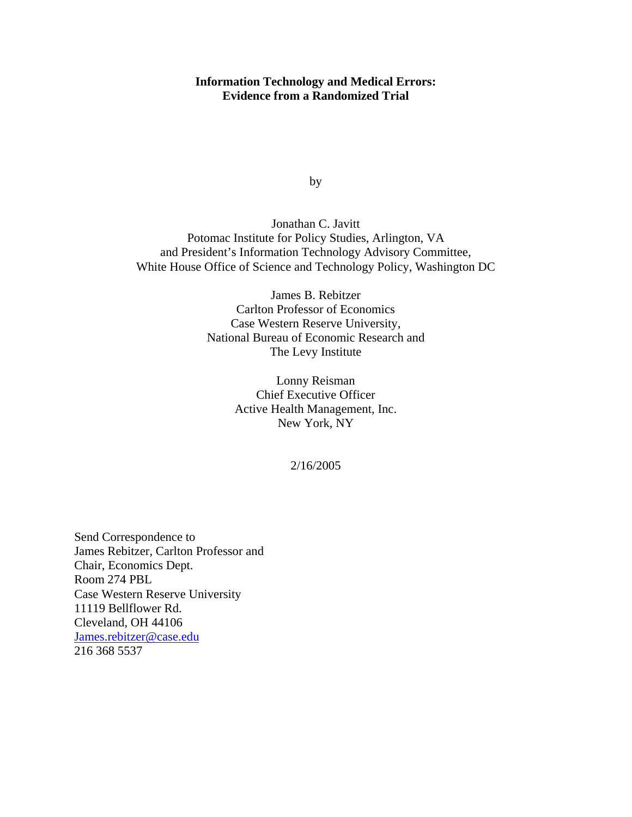## **Information Technology and Medical Errors: Evidence from a Randomized Trial**

by

Jonathan C. Javitt Potomac Institute for Policy Studies, Arlington, VA and President's Information Technology Advisory Committee, White House Office of Science and Technology Policy, Washington DC

> James B. Rebitzer Carlton Professor of Economics Case Western Reserve University, National Bureau of Economic Research and The Levy Institute

> > Lonny Reisman Chief Executive Officer Active Health Management, Inc. New York, NY

> > > 2/16/2005

Send Correspondence to James Rebitzer, Carlton Professor and Chair, Economics Dept. Room 274 PBL Case Western Reserve University 11119 Bellflower Rd. Cleveland, OH 44106 James.rebitzer@case.edu 216 368 5537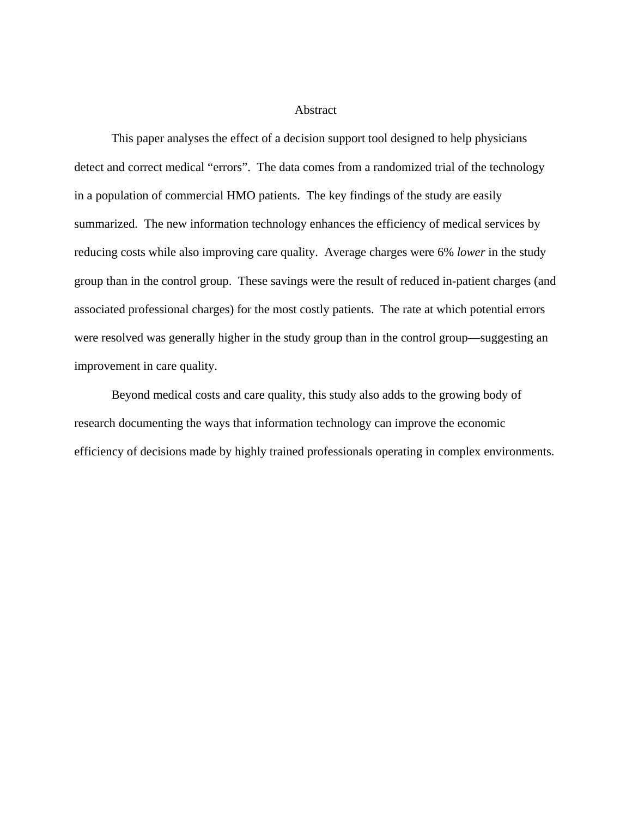## Abstract

This paper analyses the effect of a decision support tool designed to help physicians detect and correct medical "errors". The data comes from a randomized trial of the technology in a population of commercial HMO patients. The key findings of the study are easily summarized. The new information technology enhances the efficiency of medical services by reducing costs while also improving care quality. Average charges were 6% *lower* in the study group than in the control group. These savings were the result of reduced in-patient charges (and associated professional charges) for the most costly patients. The rate at which potential errors were resolved was generally higher in the study group than in the control group—suggesting an improvement in care quality.

Beyond medical costs and care quality, this study also adds to the growing body of research documenting the ways that information technology can improve the economic efficiency of decisions made by highly trained professionals operating in complex environments.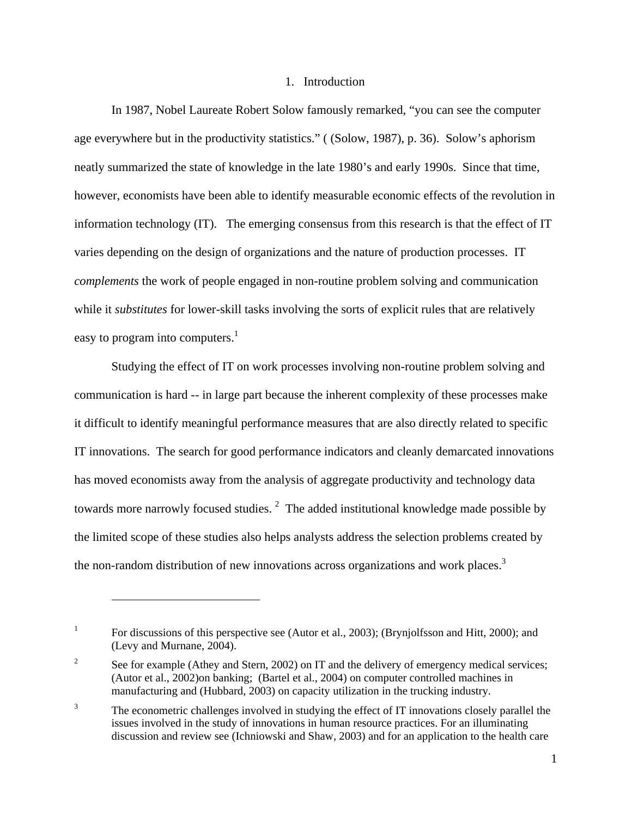## 1. Introduction

In 1987, Nobel Laureate Robert Solow famously remarked, "you can see the computer age everywhere but in the productivity statistics." ( (Solow, 1987), p. 36). Solow's aphorism neatly summarized the state of knowledge in the late 1980's and early 1990s. Since that time, however, economists have been able to identify measurable economic effects of the revolution in information technology (IT). The emerging consensus from this research is that the effect of IT varies depending on the design of organizations and the nature of production processes. IT *complements* the work of people engaged in non-routine problem solving and communication while it *substitutes* for lower-skill tasks involving the sorts of explicit rules that are relatively easy to program into computers.<sup>1</sup>

Studying the effect of IT on work processes involving non-routine problem solving and communication is hard -- in large part because the inherent complexity of these processes make it difficult to identify meaningful performance measures that are also directly related to specific IT innovations. The search for good performance indicators and cleanly demarcated innovations has moved economists away from the analysis of aggregate productivity and technology data towards more narrowly focused studies.  $2$  The added institutional knowledge made possible by the limited scope of these studies also helps analysts address the selection problems created by the non-random distribution of new innovations across organizations and work places.<sup>3</sup>

<sup>1</sup> For discussions of this perspective see (Autor et al., 2003); (Brynjolfsson and Hitt, 2000); and (Levy and Murnane, 2004).

<sup>2</sup> See for example (Athey and Stern, 2002) on IT and the delivery of emergency medical services; (Autor et al., 2002)on banking; (Bartel et al., 2004) on computer controlled machines in manufacturing and (Hubbard, 2003) on capacity utilization in the trucking industry.

<sup>3</sup> The econometric challenges involved in studying the effect of IT innovations closely parallel the issues involved in the study of innovations in human resource practices. For an illuminating discussion and review see (Ichniowski and Shaw, 2003) and for an application to the health care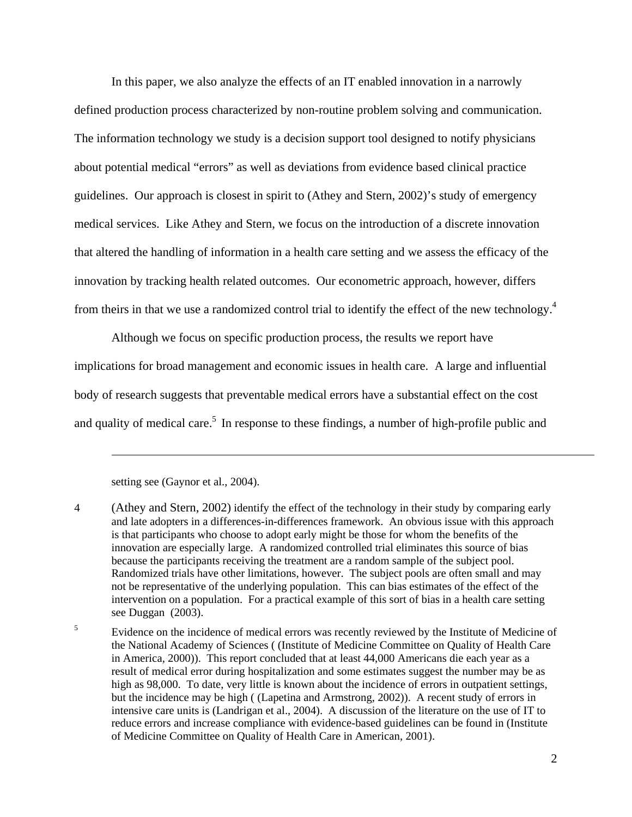In this paper, we also analyze the effects of an IT enabled innovation in a narrowly defined production process characterized by non-routine problem solving and communication. The information technology we study is a decision support tool designed to notify physicians about potential medical "errors" as well as deviations from evidence based clinical practice guidelines. Our approach is closest in spirit to (Athey and Stern, 2002)'s study of emergency medical services. Like Athey and Stern, we focus on the introduction of a discrete innovation that altered the handling of information in a health care setting and we assess the efficacy of the innovation by tracking health related outcomes. Our econometric approach, however, differs from theirs in that we use a randomized control trial to identify the effect of the new technology.4

Although we focus on specific production process, the results we report have implications for broad management and economic issues in health care. A large and influential body of research suggests that preventable medical errors have a substantial effect on the cost and quality of medical care.<sup>5</sup> In response to these findings, a number of high-profile public and

setting see (Gaynor et al., 2004).

<sup>4 (</sup>Athey and Stern, 2002) identify the effect of the technology in their study by comparing early and late adopters in a differences-in-differences framework. An obvious issue with this approach is that participants who choose to adopt early might be those for whom the benefits of the innovation are especially large. A randomized controlled trial eliminates this source of bias because the participants receiving the treatment are a random sample of the subject pool. Randomized trials have other limitations, however. The subject pools are often small and may not be representative of the underlying population. This can bias estimates of the effect of the intervention on a population. For a practical example of this sort of bias in a health care setting see Duggan (2003).

<sup>5</sup> Evidence on the incidence of medical errors was recently reviewed by the Institute of Medicine of the National Academy of Sciences ( (Institute of Medicine Committee on Quality of Health Care in America, 2000)). This report concluded that at least 44,000 Americans die each year as a result of medical error during hospitalization and some estimates suggest the number may be as high as 98,000. To date, very little is known about the incidence of errors in outpatient settings, but the incidence may be high ( (Lapetina and Armstrong, 2002)). A recent study of errors in intensive care units is (Landrigan et al., 2004). A discussion of the literature on the use of IT to reduce errors and increase compliance with evidence-based guidelines can be found in (Institute of Medicine Committee on Quality of Health Care in American, 2001).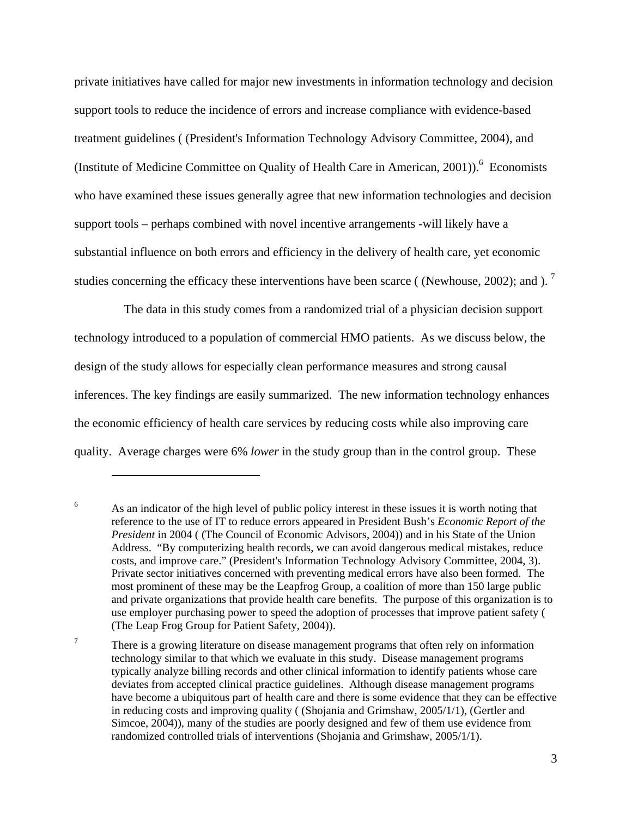private initiatives have called for major new investments in information technology and decision support tools to reduce the incidence of errors and increase compliance with evidence-based treatment guidelines ( (President's Information Technology Advisory Committee, 2004), and (Institute of Medicine Committee on Quality of Health Care in American, 2001)).<sup>6</sup> Economists who have examined these issues generally agree that new information technologies and decision support tools – perhaps combined with novel incentive arrangements -will likely have a substantial influence on both errors and efficiency in the delivery of health care, yet economic studies concerning the efficacy these interventions have been scarce ( (Newhouse, 2002); and ).<sup>7</sup>

 The data in this study comes from a randomized trial of a physician decision support technology introduced to a population of commercial HMO patients. As we discuss below, the design of the study allows for especially clean performance measures and strong causal inferences. The key findings are easily summarized. The new information technology enhances the economic efficiency of health care services by reducing costs while also improving care quality. Average charges were 6% *lower* in the study group than in the control group. These

<sup>6</sup> As an indicator of the high level of public policy interest in these issues it is worth noting that reference to the use of IT to reduce errors appeared in President Bush's *Economic Report of the President* in 2004 ( (The Council of Economic Advisors, 2004)) and in his State of the Union Address. "By computerizing health records, we can avoid dangerous medical mistakes, reduce costs, and improve care." (President's Information Technology Advisory Committee, 2004, 3). Private sector initiatives concerned with preventing medical errors have also been formed. The most prominent of these may be the Leapfrog Group, a coalition of more than 150 large public and private organizations that provide health care benefits. The purpose of this organization is to use employer purchasing power to speed the adoption of processes that improve patient safety ( (The Leap Frog Group for Patient Safety, 2004)).

<sup>7</sup> There is a growing literature on disease management programs that often rely on information technology similar to that which we evaluate in this study. Disease management programs typically analyze billing records and other clinical information to identify patients whose care deviates from accepted clinical practice guidelines. Although disease management programs have become a ubiquitous part of health care and there is some evidence that they can be effective in reducing costs and improving quality ( (Shojania and Grimshaw, 2005/1/1), (Gertler and Simcoe, 2004)), many of the studies are poorly designed and few of them use evidence from randomized controlled trials of interventions (Shojania and Grimshaw, 2005/1/1).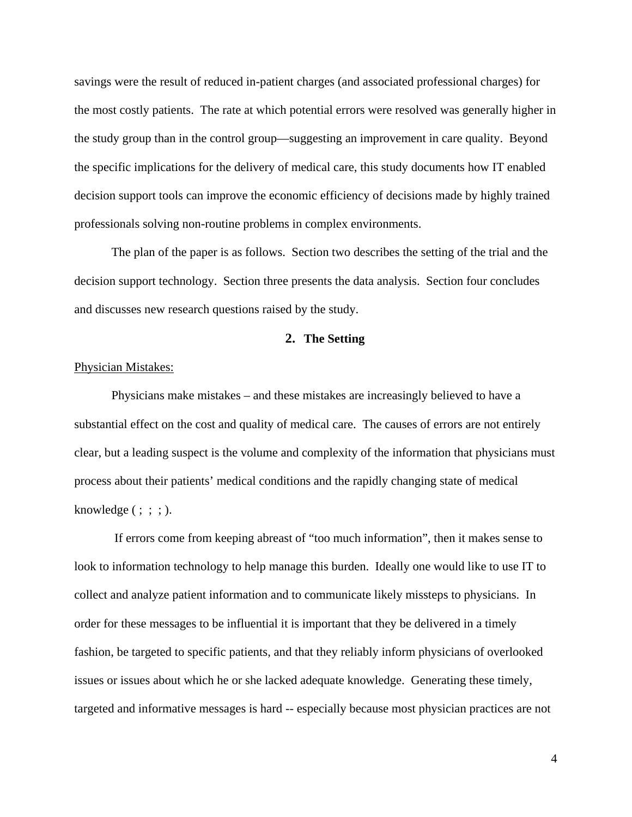savings were the result of reduced in-patient charges (and associated professional charges) for the most costly patients. The rate at which potential errors were resolved was generally higher in the study group than in the control group—suggesting an improvement in care quality. Beyond the specific implications for the delivery of medical care, this study documents how IT enabled decision support tools can improve the economic efficiency of decisions made by highly trained professionals solving non-routine problems in complex environments.

The plan of the paper is as follows. Section two describes the setting of the trial and the decision support technology. Section three presents the data analysis. Section four concludes and discusses new research questions raised by the study.

# **2. The Setting**

#### Physician Mistakes:

Physicians make mistakes – and these mistakes are increasingly believed to have a substantial effect on the cost and quality of medical care. The causes of errors are not entirely clear, but a leading suspect is the volume and complexity of the information that physicians must process about their patients' medical conditions and the rapidly changing state of medical knowledge  $( ; ; ; ).$ 

 If errors come from keeping abreast of "too much information", then it makes sense to look to information technology to help manage this burden. Ideally one would like to use IT to collect and analyze patient information and to communicate likely missteps to physicians. In order for these messages to be influential it is important that they be delivered in a timely fashion, be targeted to specific patients, and that they reliably inform physicians of overlooked issues or issues about which he or she lacked adequate knowledge. Generating these timely, targeted and informative messages is hard -- especially because most physician practices are not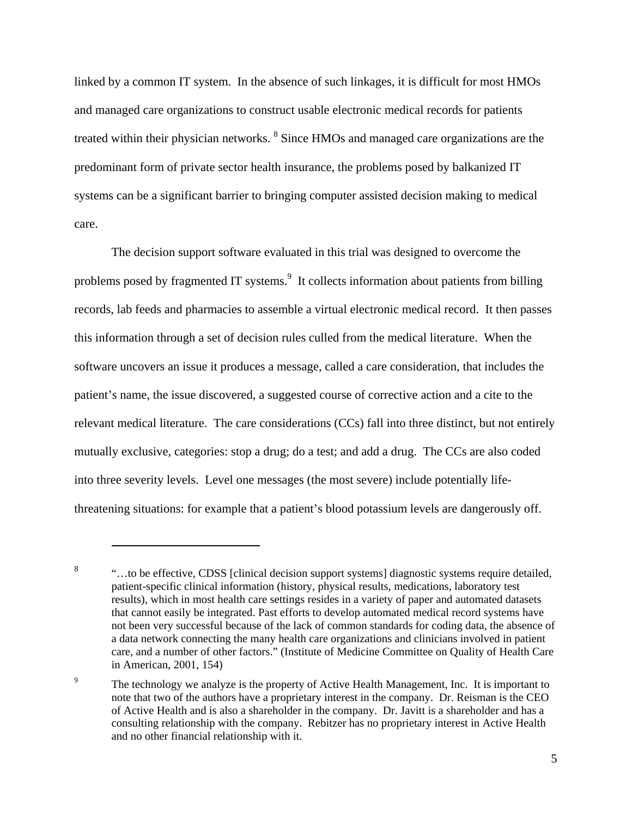linked by a common IT system. In the absence of such linkages, it is difficult for most HMOs and managed care organizations to construct usable electronic medical records for patients treated within their physician networks.  $^8$  Since HMOs and managed care organizations are the predominant form of private sector health insurance, the problems posed by balkanized IT systems can be a significant barrier to bringing computer assisted decision making to medical care.

The decision support software evaluated in this trial was designed to overcome the problems posed by fragmented IT systems. $9\,$  It collects information about patients from billing records, lab feeds and pharmacies to assemble a virtual electronic medical record. It then passes this information through a set of decision rules culled from the medical literature. When the software uncovers an issue it produces a message, called a care consideration, that includes the patient's name, the issue discovered, a suggested course of corrective action and a cite to the relevant medical literature. The care considerations (CCs) fall into three distinct, but not entirely mutually exclusive, categories: stop a drug; do a test; and add a drug. The CCs are also coded into three severity levels. Level one messages (the most severe) include potentially lifethreatening situations: for example that a patient's blood potassium levels are dangerously off.

<sup>&</sup>lt;sup>8</sup> ...to be effective, CDSS [clinical decision support systems] diagnostic systems require detailed, patient-specific clinical information (history, physical results, medications, laboratory test results), which in most health care settings resides in a variety of paper and automated datasets that cannot easily be integrated. Past efforts to develop automated medical record systems have not been very successful because of the lack of common standards for coding data, the absence of a data network connecting the many health care organizations and clinicians involved in patient care, and a number of other factors." (Institute of Medicine Committee on Quality of Health Care in American, 2001, 154)

<sup>9</sup> The technology we analyze is the property of Active Health Management, Inc. It is important to note that two of the authors have a proprietary interest in the company. Dr. Reisman is the CEO of Active Health and is also a shareholder in the company. Dr. Javitt is a shareholder and has a consulting relationship with the company. Rebitzer has no proprietary interest in Active Health and no other financial relationship with it.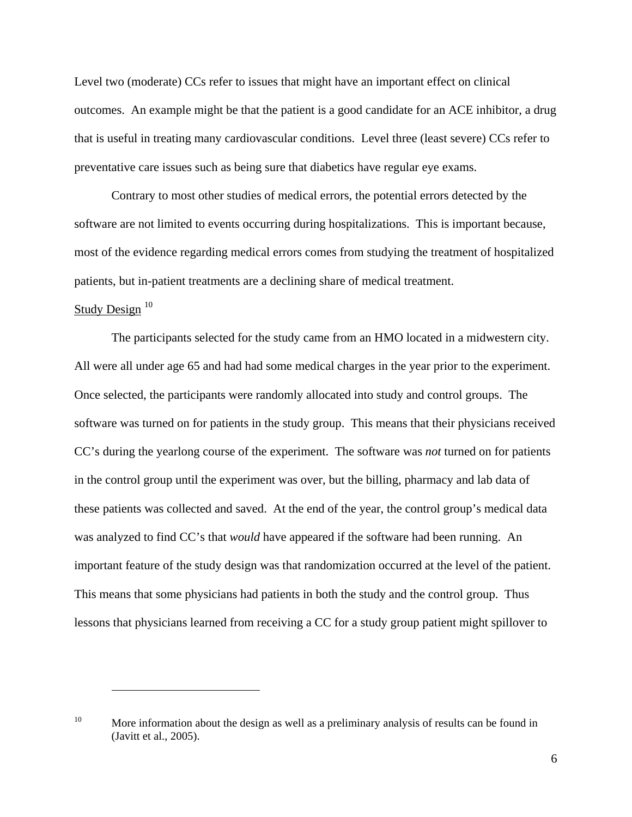Level two (moderate) CCs refer to issues that might have an important effect on clinical outcomes. An example might be that the patient is a good candidate for an ACE inhibitor, a drug that is useful in treating many cardiovascular conditions. Level three (least severe) CCs refer to preventative care issues such as being sure that diabetics have regular eye exams.

Contrary to most other studies of medical errors, the potential errors detected by the software are not limited to events occurring during hospitalizations. This is important because, most of the evidence regarding medical errors comes from studying the treatment of hospitalized patients, but in-patient treatments are a declining share of medical treatment.

## Study Design $10$

 $\overline{a}$ 

The participants selected for the study came from an HMO located in a midwestern city. All were all under age 65 and had had some medical charges in the year prior to the experiment. Once selected, the participants were randomly allocated into study and control groups. The software was turned on for patients in the study group. This means that their physicians received CC's during the yearlong course of the experiment. The software was *not* turned on for patients in the control group until the experiment was over, but the billing, pharmacy and lab data of these patients was collected and saved. At the end of the year, the control group's medical data was analyzed to find CC's that *would* have appeared if the software had been running. An important feature of the study design was that randomization occurred at the level of the patient. This means that some physicians had patients in both the study and the control group. Thus lessons that physicians learned from receiving a CC for a study group patient might spillover to

<sup>&</sup>lt;sup>10</sup> More information about the design as well as a preliminary analysis of results can be found in (Javitt et al., 2005).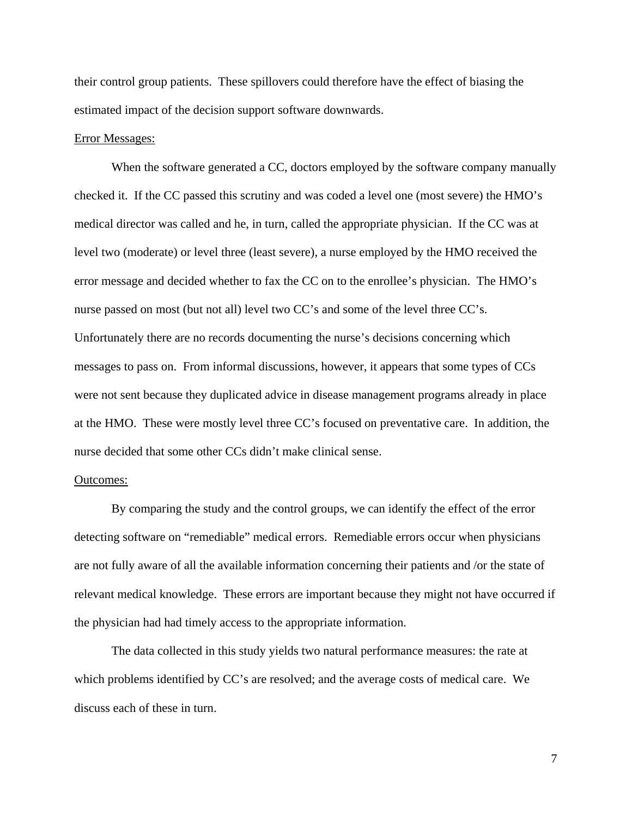their control group patients. These spillovers could therefore have the effect of biasing the estimated impact of the decision support software downwards.

#### Error Messages:

When the software generated a CC, doctors employed by the software company manually checked it. If the CC passed this scrutiny and was coded a level one (most severe) the HMO's medical director was called and he, in turn, called the appropriate physician. If the CC was at level two (moderate) or level three (least severe), a nurse employed by the HMO received the error message and decided whether to fax the CC on to the enrollee's physician. The HMO's nurse passed on most (but not all) level two CC's and some of the level three CC's. Unfortunately there are no records documenting the nurse's decisions concerning which messages to pass on. From informal discussions, however, it appears that some types of CCs were not sent because they duplicated advice in disease management programs already in place at the HMO. These were mostly level three CC's focused on preventative care. In addition, the nurse decided that some other CCs didn't make clinical sense.

#### Outcomes:

By comparing the study and the control groups, we can identify the effect of the error detecting software on "remediable" medical errors. Remediable errors occur when physicians are not fully aware of all the available information concerning their patients and /or the state of relevant medical knowledge. These errors are important because they might not have occurred if the physician had had timely access to the appropriate information.

The data collected in this study yields two natural performance measures: the rate at which problems identified by CC's are resolved; and the average costs of medical care. We discuss each of these in turn.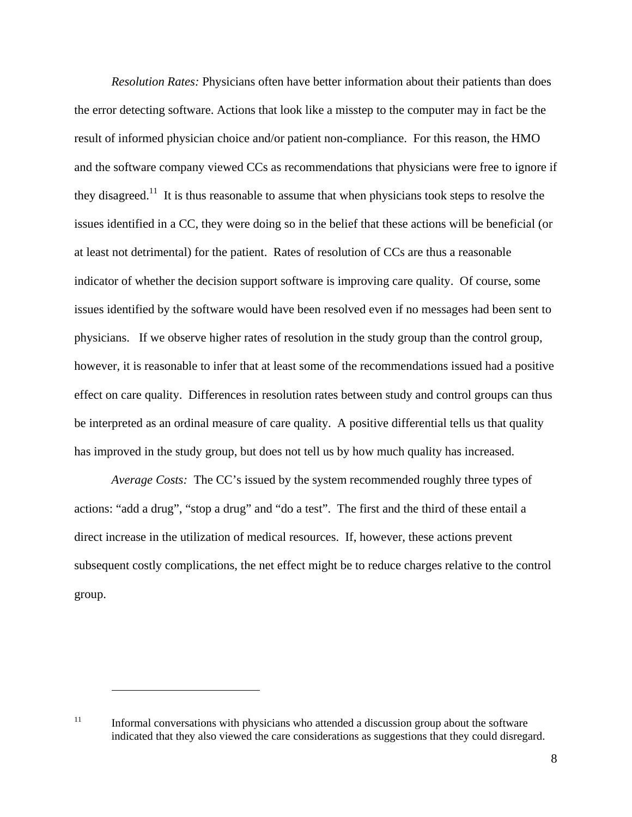*Resolution Rates:* Physicians often have better information about their patients than does the error detecting software. Actions that look like a misstep to the computer may in fact be the result of informed physician choice and/or patient non-compliance. For this reason, the HMO and the software company viewed CCs as recommendations that physicians were free to ignore if they disagreed.<sup>11</sup> It is thus reasonable to assume that when physicians took steps to resolve the issues identified in a CC, they were doing so in the belief that these actions will be beneficial (or at least not detrimental) for the patient. Rates of resolution of CCs are thus a reasonable indicator of whether the decision support software is improving care quality. Of course, some issues identified by the software would have been resolved even if no messages had been sent to physicians. If we observe higher rates of resolution in the study group than the control group, however, it is reasonable to infer that at least some of the recommendations issued had a positive effect on care quality. Differences in resolution rates between study and control groups can thus be interpreted as an ordinal measure of care quality. A positive differential tells us that quality has improved in the study group, but does not tell us by how much quality has increased.

*Average Costs:* The CC's issued by the system recommended roughly three types of actions: "add a drug", "stop a drug" and "do a test". The first and the third of these entail a direct increase in the utilization of medical resources. If, however, these actions prevent subsequent costly complications, the net effect might be to reduce charges relative to the control group.

 $11$  Informal conversations with physicians who attended a discussion group about the software indicated that they also viewed the care considerations as suggestions that they could disregard.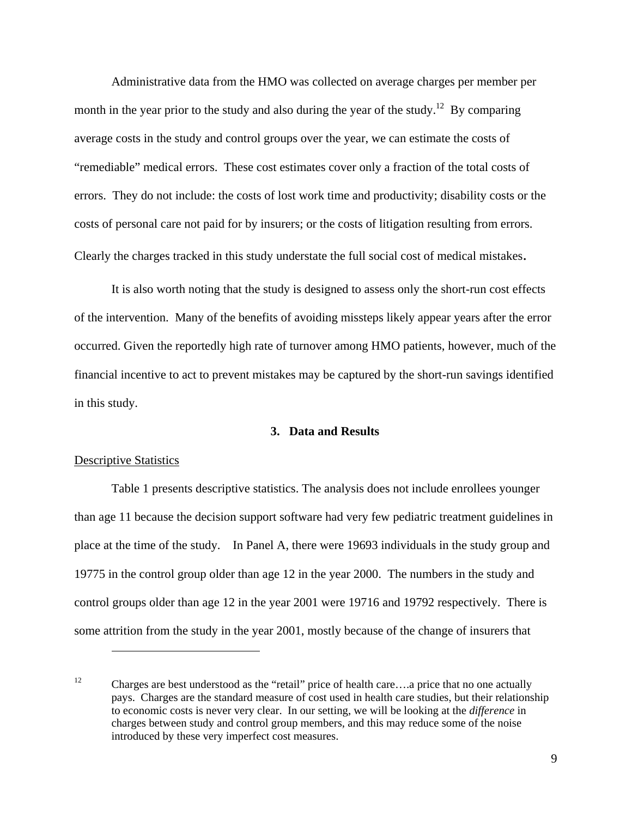Administrative data from the HMO was collected on average charges per member per month in the year prior to the study and also during the year of the study.<sup>12</sup> By comparing average costs in the study and control groups over the year, we can estimate the costs of "remediable" medical errors. These cost estimates cover only a fraction of the total costs of errors. They do not include: the costs of lost work time and productivity; disability costs or the costs of personal care not paid for by insurers; or the costs of litigation resulting from errors. Clearly the charges tracked in this study understate the full social cost of medical mistakes.

It is also worth noting that the study is designed to assess only the short-run cost effects of the intervention. Many of the benefits of avoiding missteps likely appear years after the error occurred. Given the reportedly high rate of turnover among HMO patients, however, much of the financial incentive to act to prevent mistakes may be captured by the short-run savings identified in this study.

# **3. Data and Results**

#### Descriptive Statistics

1

Table 1 presents descriptive statistics. The analysis does not include enrollees younger than age 11 because the decision support software had very few pediatric treatment guidelines in place at the time of the study. In Panel A, there were 19693 individuals in the study group and 19775 in the control group older than age 12 in the year 2000. The numbers in the study and control groups older than age 12 in the year 2001 were 19716 and 19792 respectively. There is some attrition from the study in the year 2001, mostly because of the change of insurers that

<sup>12</sup> Charges are best understood as the "retail" price of health care….a price that no one actually pays. Charges are the standard measure of cost used in health care studies, but their relationship to economic costs is never very clear. In our setting, we will be looking at the *difference* in charges between study and control group members, and this may reduce some of the noise introduced by these very imperfect cost measures.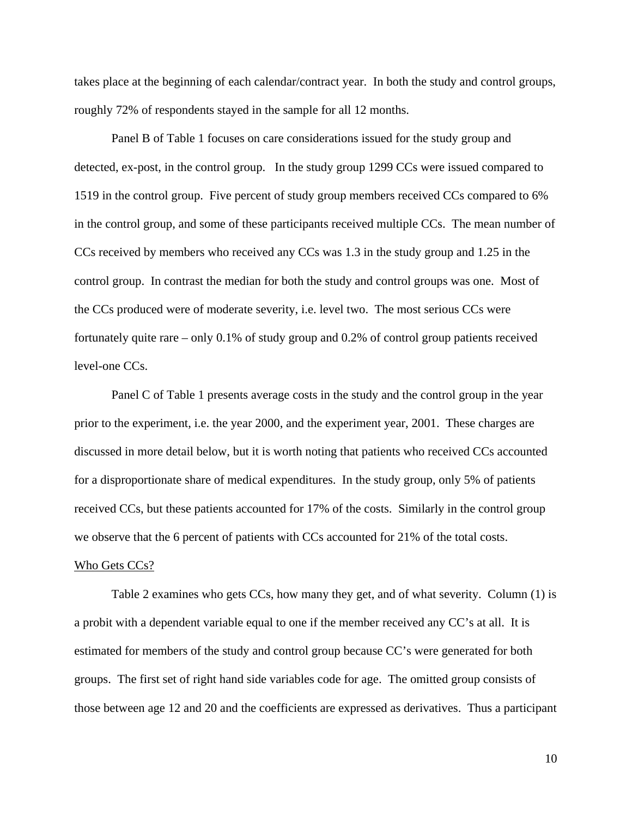takes place at the beginning of each calendar/contract year. In both the study and control groups, roughly 72% of respondents stayed in the sample for all 12 months.

Panel B of Table 1 focuses on care considerations issued for the study group and detected, ex-post, in the control group. In the study group 1299 CCs were issued compared to 1519 in the control group. Five percent of study group members received CCs compared to 6% in the control group, and some of these participants received multiple CCs. The mean number of CCs received by members who received any CCs was 1.3 in the study group and 1.25 in the control group. In contrast the median for both the study and control groups was one. Most of the CCs produced were of moderate severity, i.e. level two. The most serious CCs were fortunately quite rare – only 0.1% of study group and 0.2% of control group patients received level-one CCs.

Panel C of Table 1 presents average costs in the study and the control group in the year prior to the experiment, i.e. the year 2000, and the experiment year, 2001. These charges are discussed in more detail below, but it is worth noting that patients who received CCs accounted for a disproportionate share of medical expenditures. In the study group, only 5% of patients received CCs, but these patients accounted for 17% of the costs. Similarly in the control group we observe that the 6 percent of patients with CCs accounted for 21% of the total costs.

## Who Gets CCs?

Table 2 examines who gets CCs, how many they get, and of what severity. Column (1) is a probit with a dependent variable equal to one if the member received any CC's at all. It is estimated for members of the study and control group because CC's were generated for both groups. The first set of right hand side variables code for age. The omitted group consists of those between age 12 and 20 and the coefficients are expressed as derivatives. Thus a participant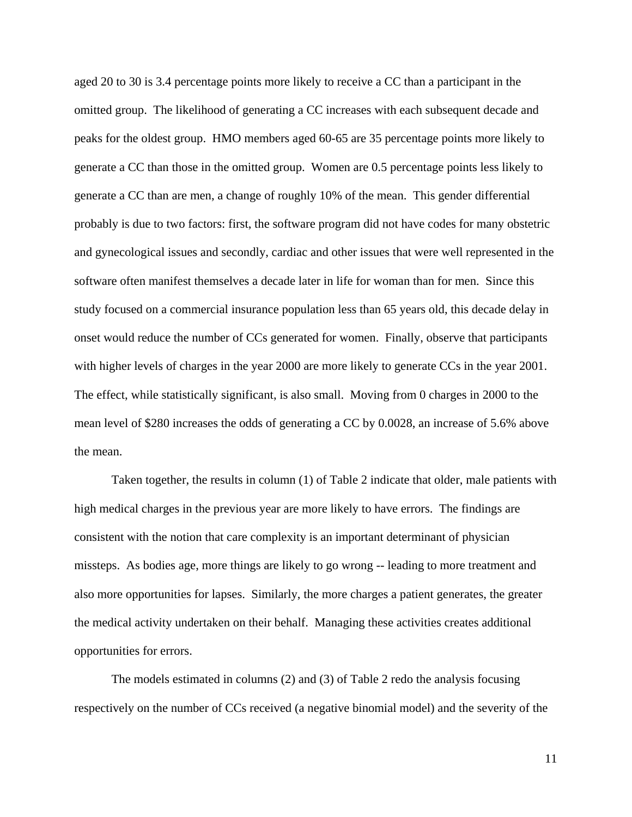aged 20 to 30 is 3.4 percentage points more likely to receive a CC than a participant in the omitted group. The likelihood of generating a CC increases with each subsequent decade and peaks for the oldest group. HMO members aged 60-65 are 35 percentage points more likely to generate a CC than those in the omitted group. Women are 0.5 percentage points less likely to generate a CC than are men, a change of roughly 10% of the mean. This gender differential probably is due to two factors: first, the software program did not have codes for many obstetric and gynecological issues and secondly, cardiac and other issues that were well represented in the software often manifest themselves a decade later in life for woman than for men. Since this study focused on a commercial insurance population less than 65 years old, this decade delay in onset would reduce the number of CCs generated for women. Finally, observe that participants with higher levels of charges in the year 2000 are more likely to generate CCs in the year 2001. The effect, while statistically significant, is also small. Moving from 0 charges in 2000 to the mean level of \$280 increases the odds of generating a CC by 0.0028, an increase of 5.6% above the mean.

Taken together, the results in column (1) of Table 2 indicate that older, male patients with high medical charges in the previous year are more likely to have errors. The findings are consistent with the notion that care complexity is an important determinant of physician missteps. As bodies age, more things are likely to go wrong -- leading to more treatment and also more opportunities for lapses. Similarly, the more charges a patient generates, the greater the medical activity undertaken on their behalf. Managing these activities creates additional opportunities for errors.

The models estimated in columns (2) and (3) of Table 2 redo the analysis focusing respectively on the number of CCs received (a negative binomial model) and the severity of the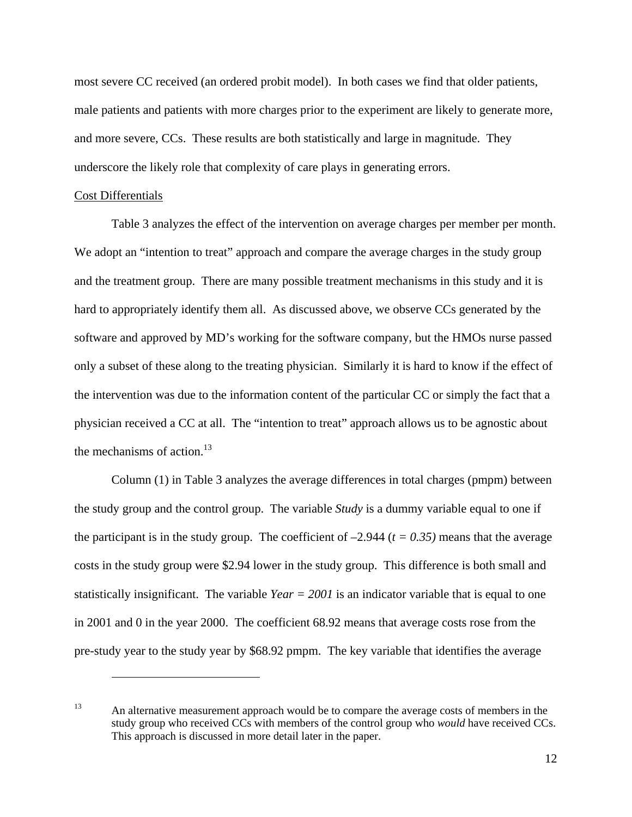most severe CC received (an ordered probit model). In both cases we find that older patients, male patients and patients with more charges prior to the experiment are likely to generate more, and more severe, CCs. These results are both statistically and large in magnitude. They underscore the likely role that complexity of care plays in generating errors.

#### Cost Differentials

 $\overline{a}$ 

Table 3 analyzes the effect of the intervention on average charges per member per month. We adopt an "intention to treat" approach and compare the average charges in the study group and the treatment group. There are many possible treatment mechanisms in this study and it is hard to appropriately identify them all. As discussed above, we observe CCs generated by the software and approved by MD's working for the software company, but the HMOs nurse passed only a subset of these along to the treating physician. Similarly it is hard to know if the effect of the intervention was due to the information content of the particular CC or simply the fact that a physician received a CC at all. The "intention to treat" approach allows us to be agnostic about the mechanisms of action. $13$ 

Column (1) in Table 3 analyzes the average differences in total charges (pmpm) between the study group and the control group. The variable *Study* is a dummy variable equal to one if the participant is in the study group. The coefficient of  $-2.944$  ( $t = 0.35$ ) means that the average costs in the study group were \$2.94 lower in the study group. This difference is both small and statistically insignificant. The variable *Year = 2001* is an indicator variable that is equal to one in 2001 and 0 in the year 2000. The coefficient 68.92 means that average costs rose from the pre-study year to the study year by \$68.92 pmpm. The key variable that identifies the average

<sup>&</sup>lt;sup>13</sup> An alternative measurement approach would be to compare the average costs of members in the study group who received CCs with members of the control group who *would* have received CCs. This approach is discussed in more detail later in the paper.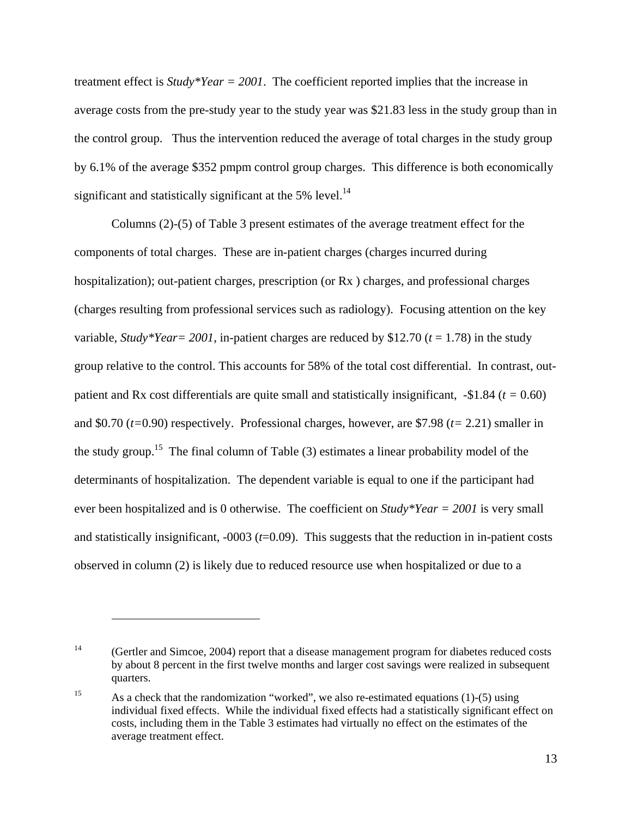treatment effect is *Study\*Year = 2001*. The coefficient reported implies that the increase in average costs from the pre-study year to the study year was \$21.83 less in the study group than in the control group. Thus the intervention reduced the average of total charges in the study group by 6.1% of the average \$352 pmpm control group charges. This difference is both economically significant and statistically significant at the 5% level.<sup>14</sup>

Columns (2)-(5) of Table 3 present estimates of the average treatment effect for the components of total charges. These are in-patient charges (charges incurred during hospitalization); out-patient charges, prescription (or Rx ) charges, and professional charges (charges resulting from professional services such as radiology). Focusing attention on the key variable, *Study\*Year* = 2001, in-patient charges are reduced by \$12.70 ( $t = 1.78$ ) in the study group relative to the control. This accounts for 58% of the total cost differential. In contrast, outpatient and Rx cost differentials are quite small and statistically insignificant, -\$1.84 (*t =* 0.60) and \$0.70 (*t=*0.90) respectively. Professional charges, however, are \$7.98 (*t=* 2.21) smaller in the study group.<sup>15</sup> The final column of Table  $(3)$  estimates a linear probability model of the determinants of hospitalization. The dependent variable is equal to one if the participant had ever been hospitalized and is 0 otherwise. The coefficient on *Study\*Year = 2001* is very small and statistically insignificant, -0003 (*t*=0.09). This suggests that the reduction in in-patient costs observed in column (2) is likely due to reduced resource use when hospitalized or due to a

<sup>&</sup>lt;sup>14</sup> (Gertler and Simcoe, 2004) report that a disease management program for diabetes reduced costs by about 8 percent in the first twelve months and larger cost savings were realized in subsequent quarters.

<sup>&</sup>lt;sup>15</sup> As a check that the randomization "worked", we also re-estimated equations (1)-(5) using individual fixed effects. While the individual fixed effects had a statistically significant effect on costs, including them in the Table 3 estimates had virtually no effect on the estimates of the average treatment effect.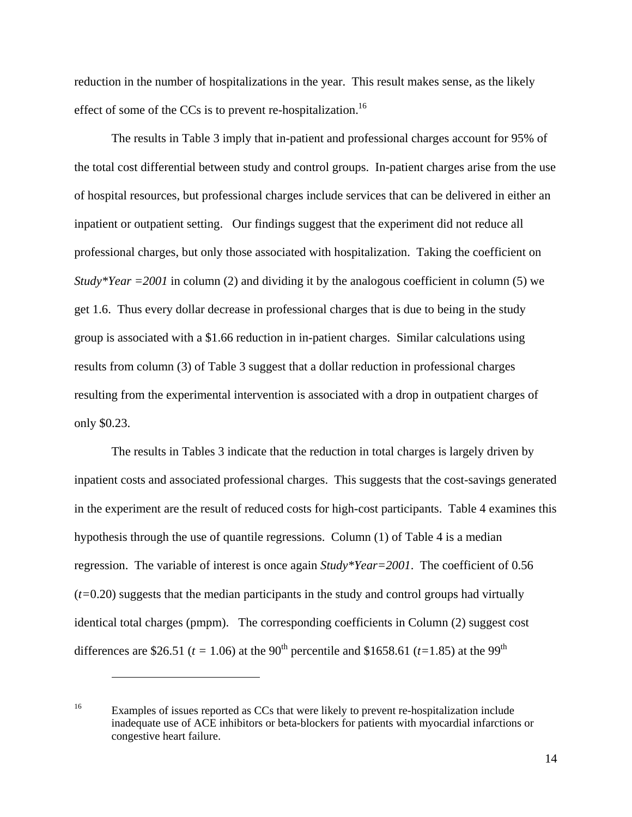reduction in the number of hospitalizations in the year. This result makes sense, as the likely effect of some of the CCs is to prevent re-hospitalization.<sup>16</sup>

The results in Table 3 imply that in-patient and professional charges account for 95% of the total cost differential between study and control groups. In-patient charges arise from the use of hospital resources, but professional charges include services that can be delivered in either an inpatient or outpatient setting. Our findings suggest that the experiment did not reduce all professional charges, but only those associated with hospitalization. Taking the coefficient on *Study\*Year =2001* in column (2) and dividing it by the analogous coefficient in column (5) we get 1.6. Thus every dollar decrease in professional charges that is due to being in the study group is associated with a \$1.66 reduction in in-patient charges. Similar calculations using results from column (3) of Table 3 suggest that a dollar reduction in professional charges resulting from the experimental intervention is associated with a drop in outpatient charges of only \$0.23.

The results in Tables 3 indicate that the reduction in total charges is largely driven by inpatient costs and associated professional charges. This suggests that the cost-savings generated in the experiment are the result of reduced costs for high-cost participants. Table 4 examines this hypothesis through the use of quantile regressions. Column (1) of Table 4 is a median regression. The variable of interest is once again *Study\*Year=2001*. The coefficient of 0.56 (*t=*0.20) suggests that the median participants in the study and control groups had virtually identical total charges (pmpm). The corresponding coefficients in Column (2) suggest cost differences are \$26.51 ( $t = 1.06$ ) at the 90<sup>th</sup> percentile and \$1658.61 ( $t=1.85$ ) at the 99<sup>th</sup>

<sup>&</sup>lt;sup>16</sup> Examples of issues reported as CCs that were likely to prevent re-hospitalization include inadequate use of ACE inhibitors or beta-blockers for patients with myocardial infarctions or congestive heart failure.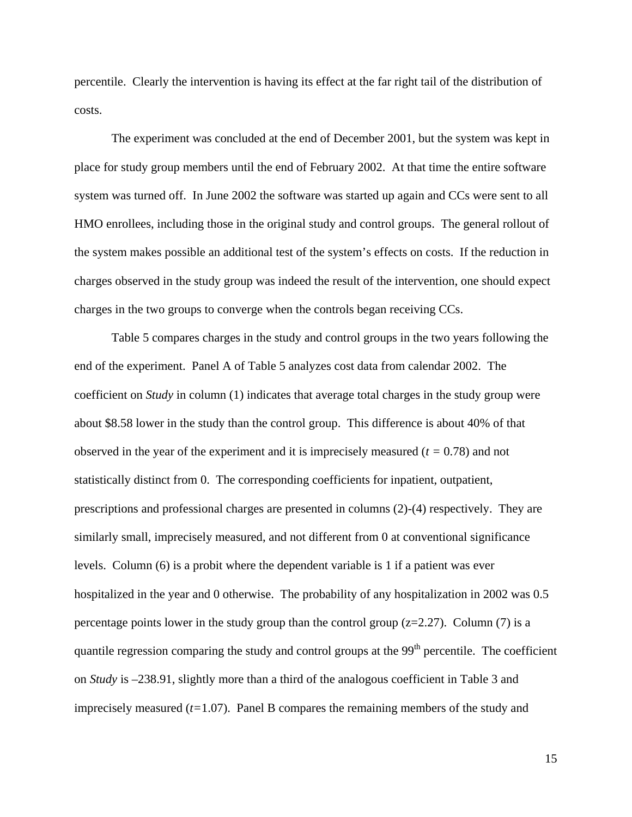percentile. Clearly the intervention is having its effect at the far right tail of the distribution of costs.

The experiment was concluded at the end of December 2001, but the system was kept in place for study group members until the end of February 2002. At that time the entire software system was turned off. In June 2002 the software was started up again and CCs were sent to all HMO enrollees, including those in the original study and control groups. The general rollout of the system makes possible an additional test of the system's effects on costs. If the reduction in charges observed in the study group was indeed the result of the intervention, one should expect charges in the two groups to converge when the controls began receiving CCs.

Table 5 compares charges in the study and control groups in the two years following the end of the experiment. Panel A of Table 5 analyzes cost data from calendar 2002. The coefficient on *Study* in column (1) indicates that average total charges in the study group were about \$8.58 lower in the study than the control group. This difference is about 40% of that observed in the year of the experiment and it is imprecisely measured (*t =* 0.78) and not statistically distinct from 0. The corresponding coefficients for inpatient, outpatient, prescriptions and professional charges are presented in columns (2)-(4) respectively. They are similarly small, imprecisely measured, and not different from 0 at conventional significance levels. Column (6) is a probit where the dependent variable is 1 if a patient was ever hospitalized in the year and 0 otherwise. The probability of any hospitalization in 2002 was 0.5 percentage points lower in the study group than the control group  $(z=2.27)$ . Column (7) is a quantile regression comparing the study and control groups at the  $99<sup>th</sup>$  percentile. The coefficient on *Study* is –238.91, slightly more than a third of the analogous coefficient in Table 3 and imprecisely measured  $(t=1.07)$ . Panel B compares the remaining members of the study and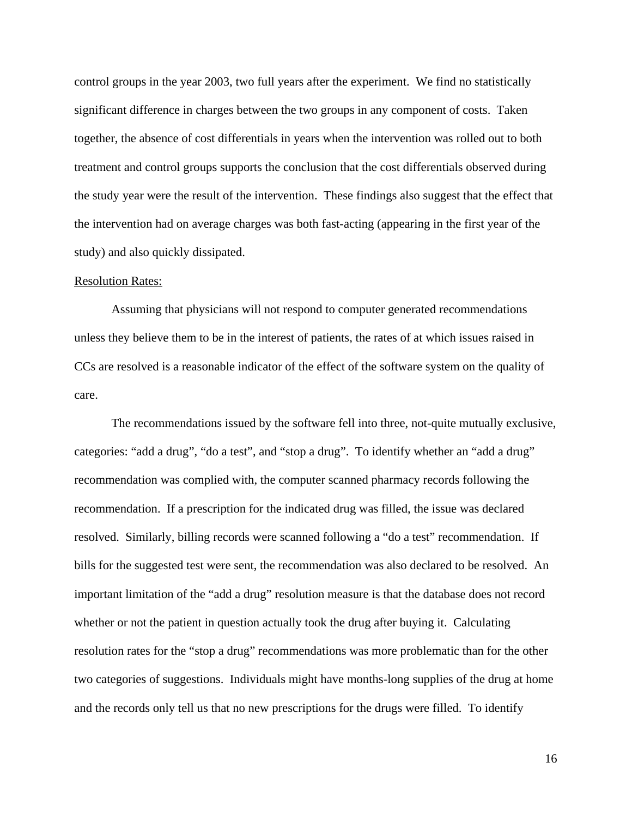control groups in the year 2003, two full years after the experiment. We find no statistically significant difference in charges between the two groups in any component of costs. Taken together, the absence of cost differentials in years when the intervention was rolled out to both treatment and control groups supports the conclusion that the cost differentials observed during the study year were the result of the intervention. These findings also suggest that the effect that the intervention had on average charges was both fast-acting (appearing in the first year of the study) and also quickly dissipated.

#### Resolution Rates:

Assuming that physicians will not respond to computer generated recommendations unless they believe them to be in the interest of patients, the rates of at which issues raised in CCs are resolved is a reasonable indicator of the effect of the software system on the quality of care.

The recommendations issued by the software fell into three, not-quite mutually exclusive, categories: "add a drug", "do a test", and "stop a drug". To identify whether an "add a drug" recommendation was complied with, the computer scanned pharmacy records following the recommendation. If a prescription for the indicated drug was filled, the issue was declared resolved. Similarly, billing records were scanned following a "do a test" recommendation. If bills for the suggested test were sent, the recommendation was also declared to be resolved. An important limitation of the "add a drug" resolution measure is that the database does not record whether or not the patient in question actually took the drug after buying it. Calculating resolution rates for the "stop a drug" recommendations was more problematic than for the other two categories of suggestions. Individuals might have months-long supplies of the drug at home and the records only tell us that no new prescriptions for the drugs were filled. To identify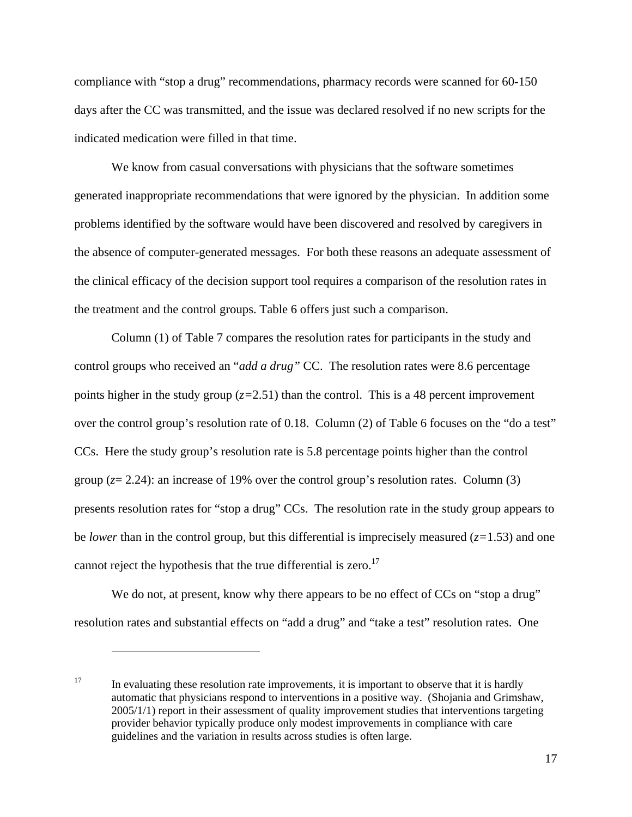compliance with "stop a drug" recommendations, pharmacy records were scanned for 60-150 days after the CC was transmitted, and the issue was declared resolved if no new scripts for the indicated medication were filled in that time.

We know from casual conversations with physicians that the software sometimes generated inappropriate recommendations that were ignored by the physician. In addition some problems identified by the software would have been discovered and resolved by caregivers in the absence of computer-generated messages. For both these reasons an adequate assessment of the clinical efficacy of the decision support tool requires a comparison of the resolution rates in the treatment and the control groups. Table 6 offers just such a comparison.

Column (1) of Table 7 compares the resolution rates for participants in the study and control groups who received an "*add a drug"* CC. The resolution rates were 8.6 percentage points higher in the study group  $(z=2.51)$  than the control. This is a 48 percent improvement over the control group's resolution rate of 0.18. Column (2) of Table 6 focuses on the "do a test" CCs. Here the study group's resolution rate is 5.8 percentage points higher than the control group  $(z=2.24)$ : an increase of 19% over the control group's resolution rates. Column (3) presents resolution rates for "stop a drug" CCs. The resolution rate in the study group appears to be *lower* than in the control group, but this differential is imprecisely measured  $(z=1.53)$  and one cannot reject the hypothesis that the true differential is zero.<sup>17</sup>

We do not, at present, know why there appears to be no effect of CCs on "stop a drug" resolution rates and substantial effects on "add a drug" and "take a test" resolution rates. One

<sup>&</sup>lt;sup>17</sup> In evaluating these resolution rate improvements, it is important to observe that it is hardly automatic that physicians respond to interventions in a positive way. (Shojania and Grimshaw, 2005/1/1) report in their assessment of quality improvement studies that interventions targeting provider behavior typically produce only modest improvements in compliance with care guidelines and the variation in results across studies is often large.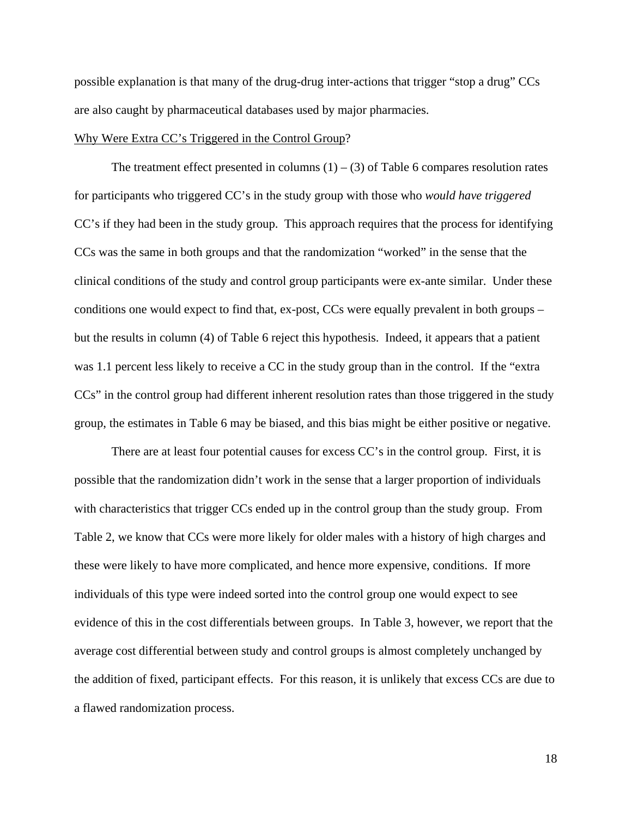possible explanation is that many of the drug-drug inter-actions that trigger "stop a drug" CCs are also caught by pharmaceutical databases used by major pharmacies.

#### Why Were Extra CC's Triggered in the Control Group?

The treatment effect presented in columns  $(1) - (3)$  of Table 6 compares resolution rates for participants who triggered CC's in the study group with those who *would have triggered* CC's if they had been in the study group. This approach requires that the process for identifying CCs was the same in both groups and that the randomization "worked" in the sense that the clinical conditions of the study and control group participants were ex-ante similar. Under these conditions one would expect to find that, ex-post, CCs were equally prevalent in both groups – but the results in column (4) of Table 6 reject this hypothesis. Indeed, it appears that a patient was 1.1 percent less likely to receive a CC in the study group than in the control. If the "extra CCs" in the control group had different inherent resolution rates than those triggered in the study group, the estimates in Table 6 may be biased, and this bias might be either positive or negative.

There are at least four potential causes for excess CC's in the control group. First, it is possible that the randomization didn't work in the sense that a larger proportion of individuals with characteristics that trigger CCs ended up in the control group than the study group. From Table 2, we know that CCs were more likely for older males with a history of high charges and these were likely to have more complicated, and hence more expensive, conditions. If more individuals of this type were indeed sorted into the control group one would expect to see evidence of this in the cost differentials between groups. In Table 3, however, we report that the average cost differential between study and control groups is almost completely unchanged by the addition of fixed, participant effects. For this reason, it is unlikely that excess CCs are due to a flawed randomization process.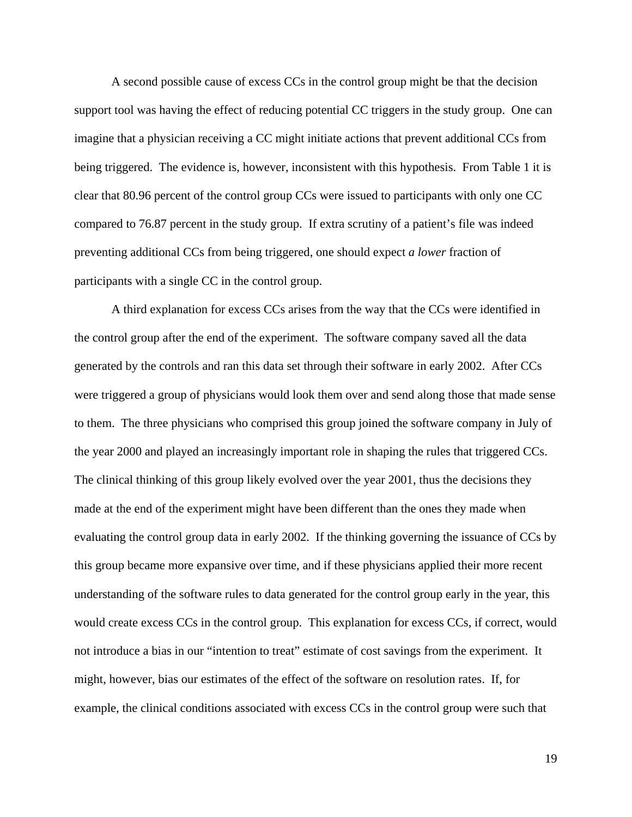A second possible cause of excess CCs in the control group might be that the decision support tool was having the effect of reducing potential CC triggers in the study group. One can imagine that a physician receiving a CC might initiate actions that prevent additional CCs from being triggered. The evidence is, however, inconsistent with this hypothesis. From Table 1 it is clear that 80.96 percent of the control group CCs were issued to participants with only one CC compared to 76.87 percent in the study group. If extra scrutiny of a patient's file was indeed preventing additional CCs from being triggered, one should expect *a lower* fraction of participants with a single CC in the control group.

A third explanation for excess CCs arises from the way that the CCs were identified in the control group after the end of the experiment. The software company saved all the data generated by the controls and ran this data set through their software in early 2002. After CCs were triggered a group of physicians would look them over and send along those that made sense to them. The three physicians who comprised this group joined the software company in July of the year 2000 and played an increasingly important role in shaping the rules that triggered CCs. The clinical thinking of this group likely evolved over the year 2001, thus the decisions they made at the end of the experiment might have been different than the ones they made when evaluating the control group data in early 2002. If the thinking governing the issuance of CCs by this group became more expansive over time, and if these physicians applied their more recent understanding of the software rules to data generated for the control group early in the year, this would create excess CCs in the control group. This explanation for excess CCs, if correct, would not introduce a bias in our "intention to treat" estimate of cost savings from the experiment. It might, however, bias our estimates of the effect of the software on resolution rates. If, for example, the clinical conditions associated with excess CCs in the control group were such that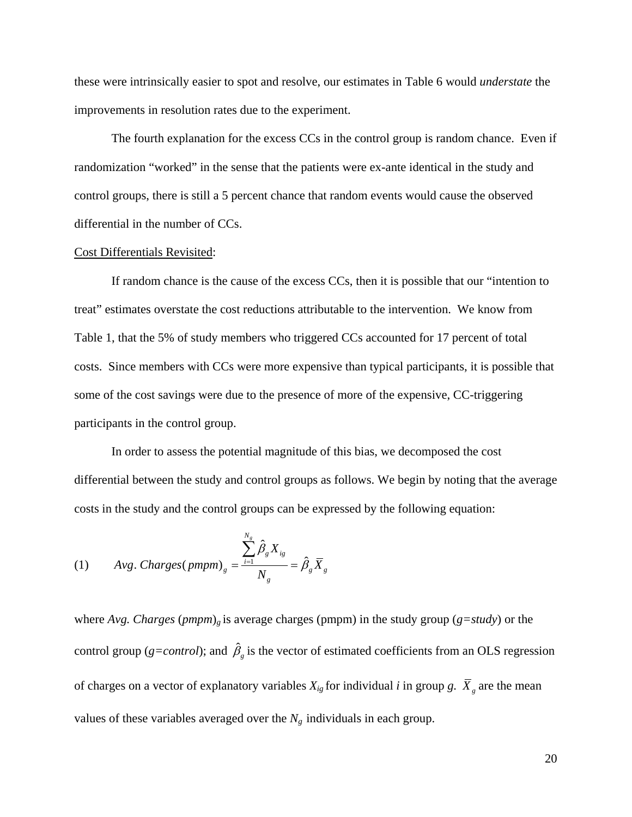these were intrinsically easier to spot and resolve, our estimates in Table 6 would *understate* the improvements in resolution rates due to the experiment.

The fourth explanation for the excess CCs in the control group is random chance. Even if randomization "worked" in the sense that the patients were ex-ante identical in the study and control groups, there is still a 5 percent chance that random events would cause the observed differential in the number of CCs.

#### Cost Differentials Revisited:

If random chance is the cause of the excess CCs, then it is possible that our "intention to treat" estimates overstate the cost reductions attributable to the intervention. We know from Table 1, that the 5% of study members who triggered CCs accounted for 17 percent of total costs. Since members with CCs were more expensive than typical participants, it is possible that some of the cost savings were due to the presence of more of the expensive, CC-triggering participants in the control group.

In order to assess the potential magnitude of this bias, we decomposed the cost differential between the study and control groups as follows. We begin by noting that the average costs in the study and the control groups can be expressed by the following equation:

(1) *Avg. Chargest* (*ppmpm*)<sub>g</sub> = 
$$
\frac{\sum_{i=1}^{N_g} \hat{\beta}_g X_{ig}}{N_g} = \hat{\beta}_g \overline{X}_g
$$

where *Avg. Charges* (*pmpm*)*<sup>g</sup>* is average charges (pmpm) in the study group (*g=study*) or the control group ( $g=control$ ); and  $\hat{\beta}_g$  is the vector of estimated coefficients from an OLS regression of charges on a vector of explanatory variables  $X_{ig}$  for individual *i* in group *g*.  $\overline{X}_g$  are the mean values of these variables averaged over the  $N_g$  individuals in each group.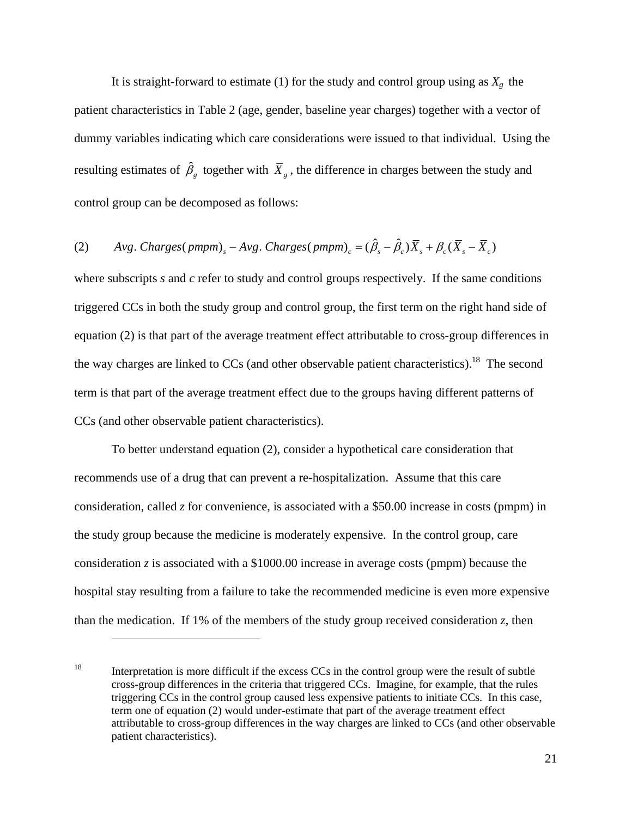It is straight-forward to estimate (1) for the study and control group using as  $X_g$  the patient characteristics in Table 2 (age, gender, baseline year charges) together with a vector of dummy variables indicating which care considerations were issued to that individual. Using the resulting estimates of  $\hat{\beta}_g$  together with  $\bar{X}_g$ , the difference in charges between the study and control group can be decomposed as follows:

# (2)  $Avg. Charges(pmpm) - Avg. Charges(pmpm)_{c} = (\hat{\beta}_{s} - \hat{\beta}_{c})\overline{X}_{s} + \beta_{c}(\overline{X}_{s} - \overline{X}_{c})$

where subscripts *s* and *c* refer to study and control groups respectively. If the same conditions triggered CCs in both the study group and control group, the first term on the right hand side of equation (2) is that part of the average treatment effect attributable to cross-group differences in the way charges are linked to  $CCs$  (and other observable patient characteristics).<sup>18</sup> The second term is that part of the average treatment effect due to the groups having different patterns of CCs (and other observable patient characteristics).

To better understand equation (2), consider a hypothetical care consideration that recommends use of a drug that can prevent a re-hospitalization. Assume that this care consideration, called *z* for convenience, is associated with a \$50.00 increase in costs (pmpm) in the study group because the medicine is moderately expensive. In the control group, care consideration *z* is associated with a \$1000.00 increase in average costs (pmpm) because the hospital stay resulting from a failure to take the recommended medicine is even more expensive than the medication. If 1% of the members of the study group received consideration *z*, then

<sup>&</sup>lt;sup>18</sup> Interpretation is more difficult if the excess CCs in the control group were the result of subtle cross-group differences in the criteria that triggered CCs. Imagine, for example, that the rules triggering CCs in the control group caused less expensive patients to initiate CCs. In this case, term one of equation (2) would under-estimate that part of the average treatment effect attributable to cross-group differences in the way charges are linked to CCs (and other observable patient characteristics).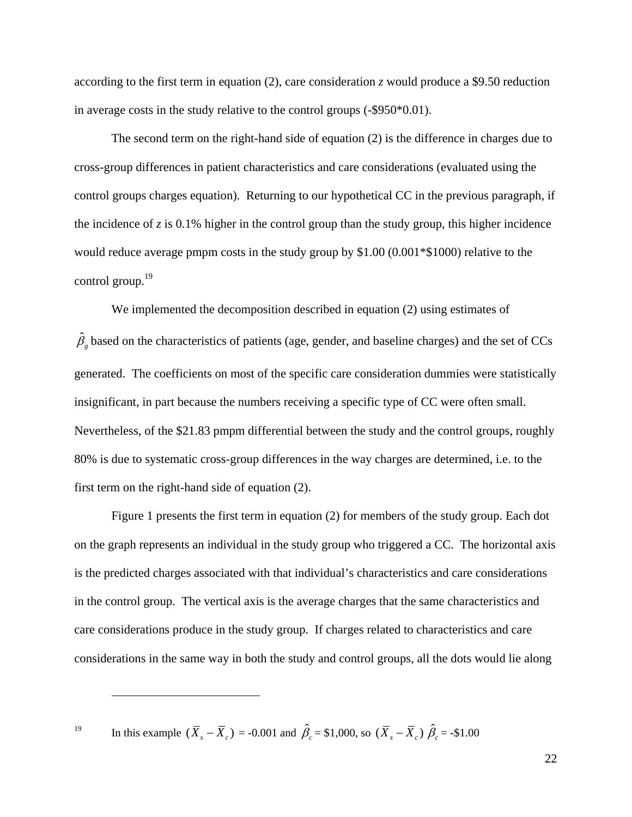according to the first term in equation (2), care consideration *z* would produce a \$9.50 reduction in average costs in the study relative to the control groups (-\$950\*0.01).

The second term on the right-hand side of equation (2) is the difference in charges due to cross-group differences in patient characteristics and care considerations (evaluated using the control groups charges equation). Returning to our hypothetical CC in the previous paragraph, if the incidence of  $z$  is 0.1% higher in the control group than the study group, this higher incidence would reduce average pmpm costs in the study group by \$1.00 (0.001\*\$1000) relative to the control group.<sup>19</sup>

We implemented the decomposition described in equation (2) using estimates of  $\hat{\beta}_g$  based on the characteristics of patients (age, gender, and baseline charges) and the set of CCs generated. The coefficients on most of the specific care consideration dummies were statistically insignificant, in part because the numbers receiving a specific type of CC were often small. Nevertheless, of the \$21.83 pmpm differential between the study and the control groups, roughly 80% is due to systematic cross-group differences in the way charges are determined, i.e. to the first term on the right-hand side of equation (2).

Figure 1 presents the first term in equation (2) for members of the study group. Each dot on the graph represents an individual in the study group who triggered a CC. The horizontal axis is the predicted charges associated with that individual's characteristics and care considerations in the control group. The vertical axis is the average charges that the same characteristics and care considerations produce in the study group. If charges related to characteristics and care considerations in the same way in both the study and control groups, all the dots would lie along

19 In this example  $(\bar{X}_s - \bar{X}_c) = -0.001$  and  $\hat{\beta}_c = $1,000$ , so  $(\bar{X}_s - \bar{X}_c)$   $\hat{\beta}_c = -\$1.00$ 

 $\overline{a}$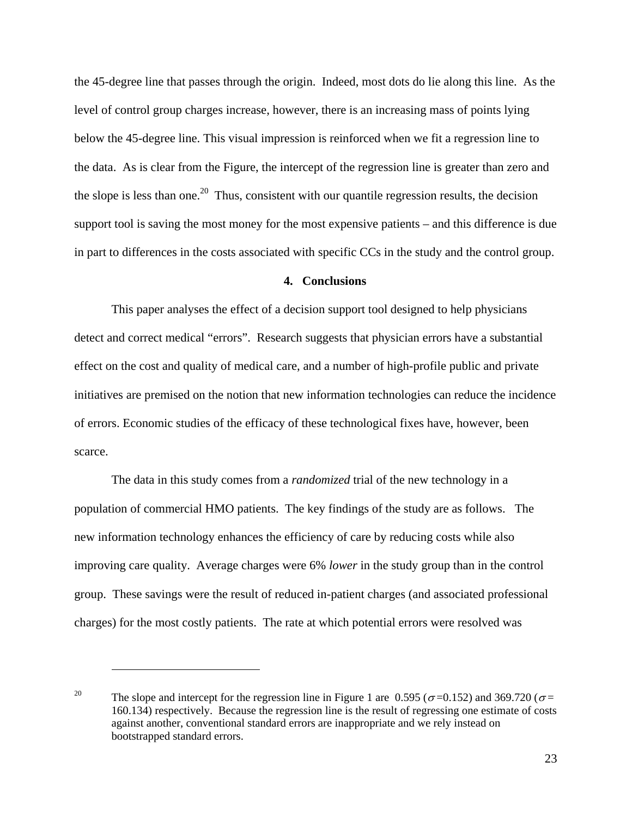the 45-degree line that passes through the origin. Indeed, most dots do lie along this line. As the level of control group charges increase, however, there is an increasing mass of points lying below the 45-degree line. This visual impression is reinforced when we fit a regression line to the data. As is clear from the Figure, the intercept of the regression line is greater than zero and the slope is less than one.<sup>20</sup> Thus, consistent with our quantile regression results, the decision support tool is saving the most money for the most expensive patients – and this difference is due in part to differences in the costs associated with specific CCs in the study and the control group.

## **4. Conclusions**

This paper analyses the effect of a decision support tool designed to help physicians detect and correct medical "errors". Research suggests that physician errors have a substantial effect on the cost and quality of medical care, and a number of high-profile public and private initiatives are premised on the notion that new information technologies can reduce the incidence of errors. Economic studies of the efficacy of these technological fixes have, however, been scarce.

The data in this study comes from a *randomized* trial of the new technology in a population of commercial HMO patients. The key findings of the study are as follows. The new information technology enhances the efficiency of care by reducing costs while also improving care quality. Average charges were 6% *lower* in the study group than in the control group. These savings were the result of reduced in-patient charges (and associated professional charges) for the most costly patients. The rate at which potential errors were resolved was

<sup>&</sup>lt;sup>20</sup> The slope and intercept for the regression line in Figure 1 are 0.595 ( $\sigma$ =0.152) and 369.720 ( $\sigma$ = 160.134) respectively. Because the regression line is the result of regressing one estimate of costs against another, conventional standard errors are inappropriate and we rely instead on bootstrapped standard errors.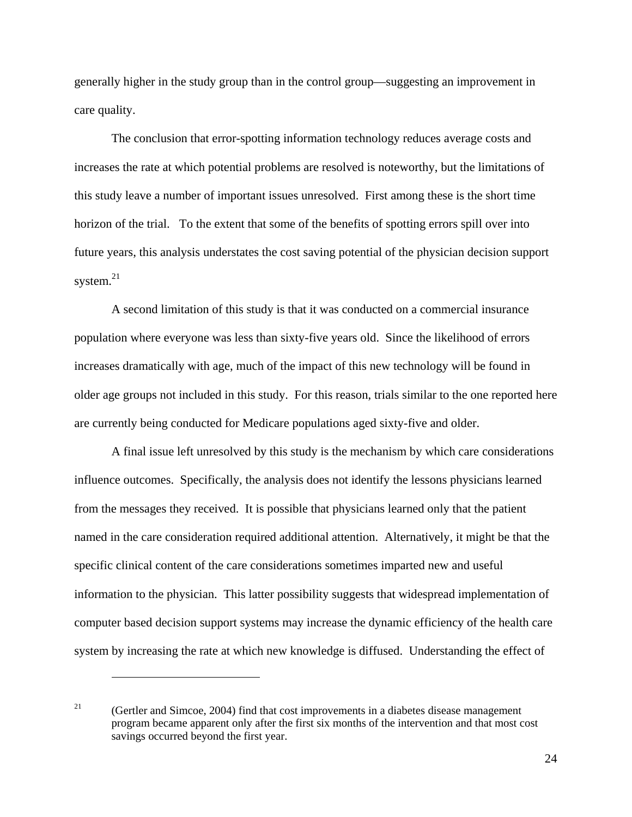generally higher in the study group than in the control group—suggesting an improvement in care quality.

The conclusion that error-spotting information technology reduces average costs and increases the rate at which potential problems are resolved is noteworthy, but the limitations of this study leave a number of important issues unresolved. First among these is the short time horizon of the trial. To the extent that some of the benefits of spotting errors spill over into future years, this analysis understates the cost saving potential of the physician decision support system. $^{21}$ 

A second limitation of this study is that it was conducted on a commercial insurance population where everyone was less than sixty-five years old. Since the likelihood of errors increases dramatically with age, much of the impact of this new technology will be found in older age groups not included in this study. For this reason, trials similar to the one reported here are currently being conducted for Medicare populations aged sixty-five and older.

A final issue left unresolved by this study is the mechanism by which care considerations influence outcomes. Specifically, the analysis does not identify the lessons physicians learned from the messages they received. It is possible that physicians learned only that the patient named in the care consideration required additional attention. Alternatively, it might be that the specific clinical content of the care considerations sometimes imparted new and useful information to the physician. This latter possibility suggests that widespread implementation of computer based decision support systems may increase the dynamic efficiency of the health care system by increasing the rate at which new knowledge is diffused. Understanding the effect of

<sup>&</sup>lt;sup>21</sup> (Gertler and Simcoe, 2004) find that cost improvements in a diabetes disease management program became apparent only after the first six months of the intervention and that most cost savings occurred beyond the first year.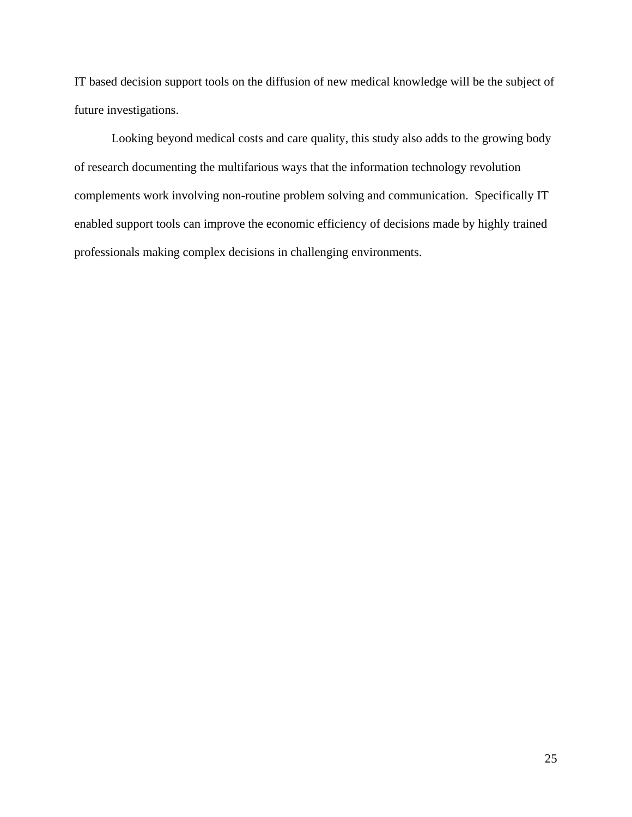IT based decision support tools on the diffusion of new medical knowledge will be the subject of future investigations.

Looking beyond medical costs and care quality, this study also adds to the growing body of research documenting the multifarious ways that the information technology revolution complements work involving non-routine problem solving and communication. Specifically IT enabled support tools can improve the economic efficiency of decisions made by highly trained professionals making complex decisions in challenging environments.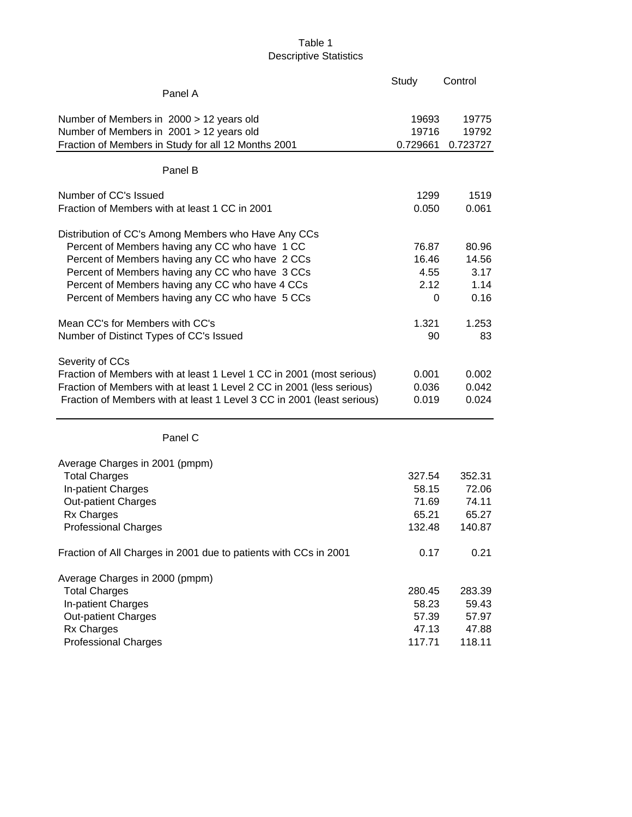# Table 1 Descriptive Statistics

|                                                                                                                                                                                                                                             | Study                   | Control                 |
|---------------------------------------------------------------------------------------------------------------------------------------------------------------------------------------------------------------------------------------------|-------------------------|-------------------------|
| Panel A                                                                                                                                                                                                                                     |                         |                         |
| Number of Members in 2000 > 12 years old                                                                                                                                                                                                    | 19693                   | 19775                   |
| Number of Members in 2001 > 12 years old                                                                                                                                                                                                    | 19716                   | 19792                   |
| Fraction of Members in Study for all 12 Months 2001                                                                                                                                                                                         | 0.729661                | 0.723727                |
| Panel B                                                                                                                                                                                                                                     |                         |                         |
| Number of CC's Issued                                                                                                                                                                                                                       | 1299                    | 1519                    |
| Fraction of Members with at least 1 CC in 2001                                                                                                                                                                                              | 0.050                   | 0.061                   |
| Distribution of CC's Among Members who Have Any CCs                                                                                                                                                                                         |                         |                         |
| Percent of Members having any CC who have 1 CC                                                                                                                                                                                              | 76.87                   | 80.96                   |
| Percent of Members having any CC who have 2 CCs                                                                                                                                                                                             | 16.46                   | 14.56                   |
| Percent of Members having any CC who have 3 CCs                                                                                                                                                                                             | 4.55                    | 3.17                    |
| Percent of Members having any CC who have 4 CCs                                                                                                                                                                                             | 2.12                    | 1.14                    |
| Percent of Members having any CC who have 5 CCs                                                                                                                                                                                             | 0                       | 0.16                    |
| Mean CC's for Members with CC's                                                                                                                                                                                                             | 1.321                   | 1.253                   |
| Number of Distinct Types of CC's Issued                                                                                                                                                                                                     | 90                      | 83                      |
| Severity of CCs<br>Fraction of Members with at least 1 Level 1 CC in 2001 (most serious)<br>Fraction of Members with at least 1 Level 2 CC in 2001 (less serious)<br>Fraction of Members with at least 1 Level 3 CC in 2001 (least serious) | 0.001<br>0.036<br>0.019 | 0.002<br>0.042<br>0.024 |
| Panel C                                                                                                                                                                                                                                     |                         |                         |
| Average Charges in 2001 (pmpm)                                                                                                                                                                                                              |                         |                         |
| <b>Total Charges</b>                                                                                                                                                                                                                        | 327.54                  | 352.31                  |
| In-patient Charges                                                                                                                                                                                                                          | 58.15                   | 72.06                   |
| <b>Out-patient Charges</b>                                                                                                                                                                                                                  | 71.69                   | 74.11                   |
| <b>Rx Charges</b>                                                                                                                                                                                                                           | 65.21                   | 65.27                   |
| <b>Professional Charges</b>                                                                                                                                                                                                                 | 132.48                  | 140.87                  |
| Fraction of All Charges in 2001 due to patients with CCs in 2001                                                                                                                                                                            | 0.17                    | 0.21                    |
| Average Charges in 2000 (pmpm)                                                                                                                                                                                                              |                         |                         |
| <b>Total Charges</b>                                                                                                                                                                                                                        | 280.45                  | 283.39                  |
| In-patient Charges                                                                                                                                                                                                                          | 58.23                   | 59.43                   |
| <b>Out-patient Charges</b>                                                                                                                                                                                                                  | 57.39                   | 57.97                   |
| Rx Charges                                                                                                                                                                                                                                  | 47.13                   | 47.88                   |
| <b>Professional Charges</b>                                                                                                                                                                                                                 | 117.71                  | 118.11                  |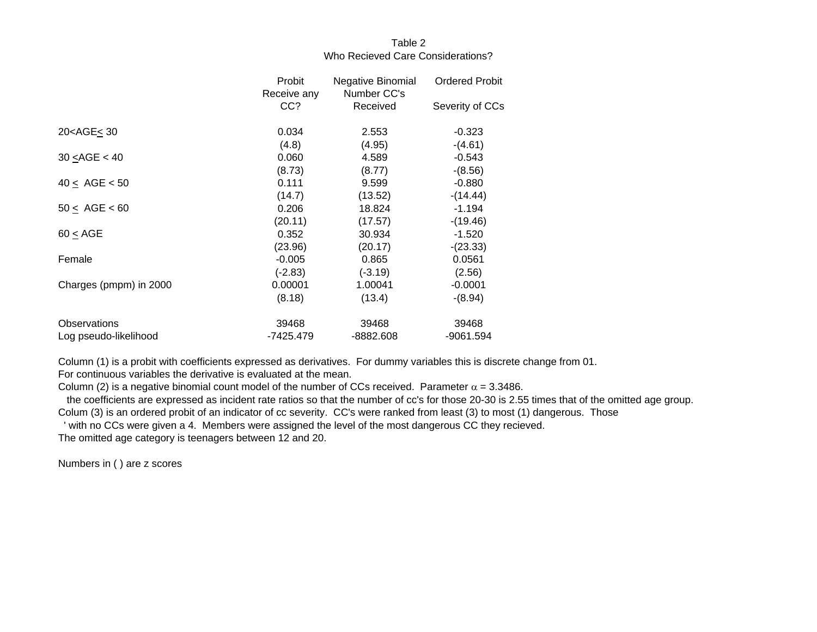## Table 2Who Recieved Care Considerations?

|                                                                                       | Probit      | Negative Binomial | <b>Ordered Probit</b> |
|---------------------------------------------------------------------------------------|-------------|-------------------|-----------------------|
|                                                                                       | Receive any | Number CC's       |                       |
|                                                                                       | CC?         | Received          | Severity of CCs       |
| 20 <age< 30<="" td=""><td>0.034</td><td>2.553</td><td><math>-0.323</math></td></age<> | 0.034       | 2.553             | $-0.323$              |
|                                                                                       | (4.8)       | (4.95)            | $-(4.61)$             |
| 30 < ABC < 40                                                                         | 0.060       | 4.589             | $-0.543$              |
|                                                                                       | (8.73)      | (8.77)            | $-(8.56)$             |
| 40 < AGE < 50                                                                         | 0.111       | 9.599             | $-0.880$              |
|                                                                                       | (14.7)      | (13.52)           | $-(14.44)$            |
| $50 \leq AGE < 60$                                                                    | 0.206       | 18.824            | $-1.194$              |
|                                                                                       | (20.11)     | (17.57)           | $-(19.46)$            |
| 60 < AGE                                                                              | 0.352       | 30.934            | $-1.520$              |
|                                                                                       | (23.96)     | (20.17)           | $-(23.33)$            |
| Female                                                                                | $-0.005$    | 0.865             | 0.0561                |
|                                                                                       | $(-2.83)$   | $(-3.19)$         | (2.56)                |
| Charges (pmpm) in 2000                                                                | 0.00001     | 1.00041           | $-0.0001$             |
|                                                                                       | (8.18)      | (13.4)            | $-(8.94)$             |
| <b>Observations</b>                                                                   | 39468       | 39468             | 39468                 |
| Log pseudo-likelihood                                                                 | -7425.479   | -8882.608         | -9061.594             |

Column (1) is a probit with coefficients expressed as derivatives. For dummy variables this is discrete change from 01.

For continuous variables the derivative is evaluated at the mean.

Column (2) is a negative binomial count model of the number of CCs received. Parameter  $\alpha$  = 3.3486.

the coefficients are expressed as incident rate ratios so that the number of cc's for those 20-30 is 2.55 times that of the omitted age group.

Colum (3) is an ordered probit of an indicator of cc severity. CC's were ranked from least (3) to most (1) dangerous. Those

' with no CCs were given a 4. Members were assigned the level of the most dangerous CC they recieved.

The omitted age category is teenagers between 12 and 20.

Numbers in ( ) are z scores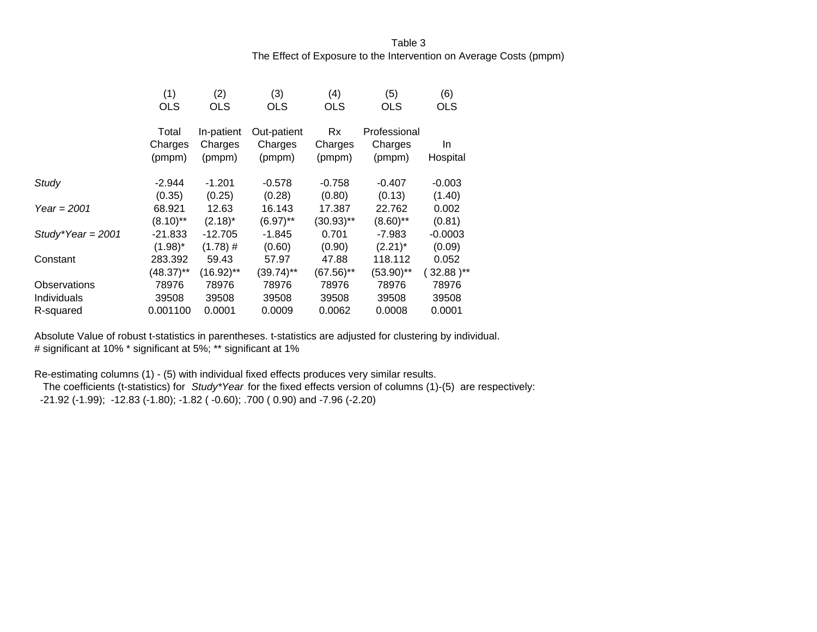# Table 3The Effect of Exposure to the Intervention on Average Costs (pmpm)

|                     | (1)<br><b>OLS</b> | (2)<br><b>OLS</b> | (3)<br><b>OLS</b> | (4)<br><b>OLS</b> | (5)<br><b>OLS</b> | (6)<br><b>OLS</b> |
|---------------------|-------------------|-------------------|-------------------|-------------------|-------------------|-------------------|
|                     | Total             | In-patient        | Out-patient       | <b>Rx</b>         | Professional      |                   |
|                     | Charges<br>(pmpm) | Charges<br>(pmpm) | Charges<br>(pmpm) | Charges<br>(pmpm) | Charges<br>(pmpm) | In.<br>Hospital   |
| Study               | $-2.944$          | $-1.201$          | $-0.578$          | $-0.758$          | $-0.407$          | $-0.003$          |
|                     | (0.35)            | (0.25)            | (0.28)            | (0.80)            | (0.13)            | (1.40)            |
| Year = $2001$       | 68.921            | 12.63             | 16.143            | 17.387            | 22.762            | 0.002             |
|                     | $(8.10)$ **       | $(2.18)^*$        | $(6.97)$ **       | $(30.93)$ **      | $(8.60)$ **       | (0.81)            |
| Study*Year = $2001$ | $-21.833$         | $-12.705$         | $-1.845$          | 0.701             | -7.983            | $-0.0003$         |
|                     | $(1.98)^*$        | $(1.78)$ #        | (0.60)            | (0.90)            | $(2.21)^*$        | (0.09)            |
| Constant            | 283.392           | 59.43             | 57.97             | 47.88             | 118.112           | 0.052             |
|                     | $(48.37)$ **      | $(16.92)$ **      | $(39.74)$ **      | $(67.56)$ **      | $(53.90)$ **      | $32.88$ )**       |
| Observations        | 78976             | 78976             | 78976             | 78976             | 78976             | 78976             |
| Individuals         | 39508             | 39508             | 39508             | 39508             | 39508             | 39508             |
| R-squared           | 0.001100          | 0.0001            | 0.0009            | 0.0062            | 0.0008            | 0.0001            |

Absolute Value of robust t-statistics in parentheses. t-statistics are adjusted for clustering by individual. # significant at 10% \* significant at 5%; \*\* significant at 1%

Re-estimating columns (1) - (5) with individual fixed effects produces very similar results.

 The coefficients (t-statistics) for *Study\*Year* for the fixed effects version of columns (1)-(5) are respectively: -21.92 (-1.99); -12.83 (-1.80); -1.82 ( -0.60); .700 ( 0.90) and -7.96 (-2.20)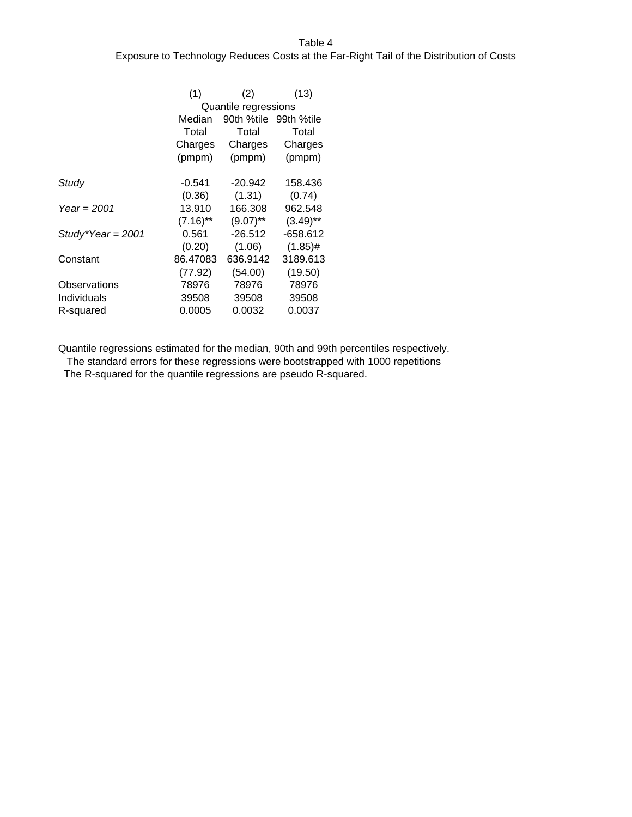#### Table 4

## Exposure to Technology Reduces Costs at the Far-Right Tail of the Distribution of Costs

|                     | (1)         | (2)                   | (13)        |
|---------------------|-------------|-----------------------|-------------|
|                     |             | Quantile regressions  |             |
|                     | Median      | 90th %tile 99th %tile |             |
|                     | Total       | Total                 | Total       |
|                     | Charges     | Charges               | Charges     |
|                     | (pmpm)      | (pmpm)                | (pmpm)      |
| Study               | $-0.541$    | $-20.942$             | 158.436     |
|                     | (0.36)      | (1.31)                | (0.74)      |
| Year = $2001$       | 13.910      | 166.308               | 962.548     |
|                     | $(7.16)$ ** | $(9.07)$ **           | $(3.49)$ ** |
| Study*Year = $2001$ | 0.561       | $-26.512$             | -658.612    |
|                     | (0.20)      | (1.06)                | $(1.85)$ #  |
| Constant            | 86.47083    | 636.9142              | 3189.613    |
|                     | (77.92)     | (54.00)               | (19.50)     |
| Observations        | 78976       | 78976                 | 78976       |
| Individuals         | 39508       | 39508                 | 39508       |
| R-squared           | 0.0005      | 0.0032                | 0.0037      |

Quantile regressions estimated for the median, 90th and 99th percentiles respectively.

The standard errors for these regressions were bootstrapped with 1000 repetitions

The R-squared for the quantile regressions are pseudo R-squared.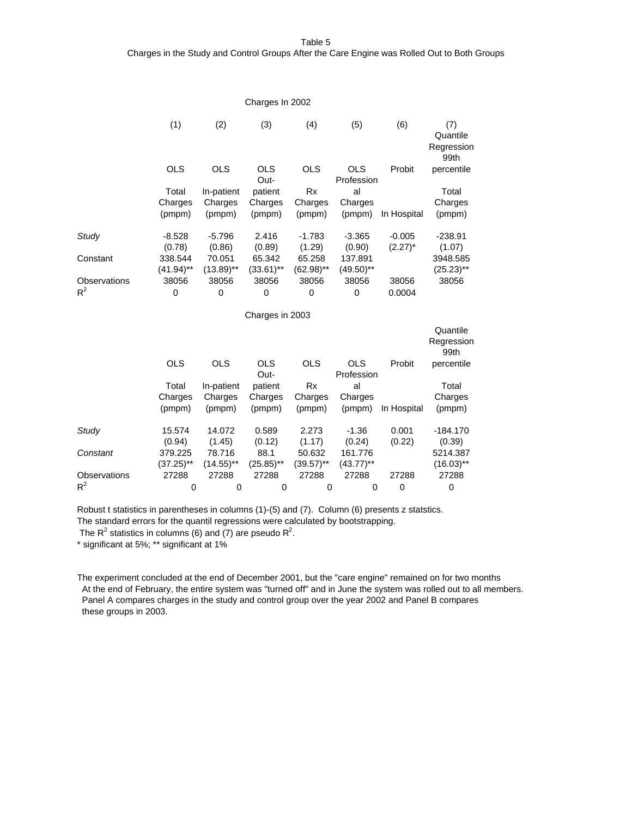Table 5

#### Charges in the Study and Control Groups After the Care Engine was Rolled Out to Both Groups

|                     |                         |                         | Charges In 2002        |                        |                          |                        |                                       |
|---------------------|-------------------------|-------------------------|------------------------|------------------------|--------------------------|------------------------|---------------------------------------|
|                     | (1)                     | (2)                     | (3)                    | (4)                    | (5)                      | (6)                    | (7)<br>Quantile<br>Regression<br>99th |
|                     | <b>OLS</b>              | <b>OLS</b>              | <b>OLS</b><br>Out-     | <b>OLS</b>             | <b>OLS</b><br>Profession | Probit                 | percentile                            |
|                     | Total                   | In-patient              | patient                | <b>Rx</b>              | al                       |                        | Total                                 |
|                     | Charges                 | Charges                 | Charges                | Charges                | Charges                  |                        | Charges                               |
|                     | (pmpm)                  | (pmpm)                  | (pmpm)                 | (pmpm)                 | (pmpm)                   | In Hospital            | (pmpm)                                |
| Study               | $-8.528$<br>(0.78)      | $-5.796$<br>(0.86)      | 2.416<br>(0.89)        | $-1.783$<br>(1.29)     | $-3.365$<br>(0.90)       | $-0.005$<br>$(2.27)^*$ | $-238.91$<br>(1.07)                   |
| Constant            | 338.544<br>$(41.94)$ ** | 70.051<br>$(13.89)$ **  | 65.342<br>$(33.61)$ ** | 65.258<br>$(62.98)$ ** | 137.891<br>$(49.50)$ **  |                        | 3948.585                              |
| <b>Observations</b> | 38056                   | 38056                   | 38056                  | 38056                  | 38056                    | 38056                  | $(25.23)$ **<br>38056                 |
| $R^2$               | 0                       | $\Omega$                | $\Omega$               | $\Omega$               | $\Omega$                 | 0.0004                 |                                       |
|                     |                         |                         | Charges in 2003        |                        |                          |                        |                                       |
|                     |                         |                         |                        |                        |                          |                        | Quantile<br>Regression<br>99th        |
|                     | <b>OLS</b>              | <b>OLS</b>              | <b>OLS</b><br>Out-     | <b>OLS</b>             | <b>OLS</b><br>Profession | Probit                 | percentile                            |
|                     | Total                   | In-patient              | patient                | <b>Rx</b>              | al                       |                        | Total                                 |
|                     | Charges                 | Charges                 | Charges                | Charges                | Charges                  |                        | Charges                               |
|                     | (pmpm)                  | (pmpm)                  | (pmpm)                 | (pmpm)                 | (pmpm)                   | In Hospital            | (pmpm)                                |
| Study               | 15.574<br>(0.94)        | 14.072<br>(1.45)        | 0.589<br>(0.12)        | 2.273<br>(1.17)        | $-1.36$<br>(0.24)        | 0.001<br>(0.22)        | $-184.170$<br>(0.39)                  |
| Constant            | 379.225                 | 78.716                  | 88.1                   | 50.632                 | 161.776                  |                        | 5214.387                              |
|                     | $(37.25)$ **            | $(14.55)$ <sup>**</sup> | $(25.85)$ **           | $(39.57)$ **           | $(43.77)$ **             |                        | $(16.03)$ <sup>**</sup>               |
| Observations        | 27288                   | 27288                   | 27288                  | 27288                  | 27288                    | 27288                  | 27288                                 |
| $R^2$               | 0                       | 0                       | 0                      | 0                      | 0                        | $\mathbf 0$            | 0                                     |

Robust t statistics in parentheses in columns (1)-(5) and (7). Column (6) presents z statstics. The standard errors for the quantil regressions were calculated by bootstrapping.

The  $R^2$  statistics in columns (6) and (7) are pseudo  $R^2$ .

\* significant at 5%; \*\* significant at 1%

The experiment concluded at the end of December 2001, but the "care engine" remained on for two months At the end of February, the entire system was "turned off" and in June the system was rolled out to all members. Panel A compares charges in the study and control group over the year 2002 and Panel B compares these groups in 2003.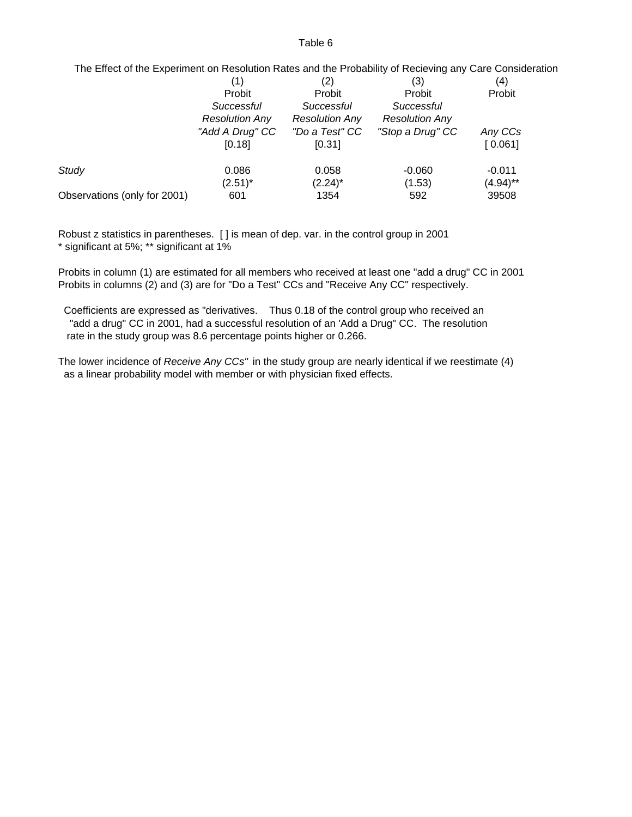#### Table 6

# The Effect of the Experiment on Resolution Rates and the Probability of Recieving any Care Consideration

| (4)      | (3)                   | (2)                   |                       |                              |
|----------|-----------------------|-----------------------|-----------------------|------------------------------|
| Probit   | Probit                | Probit                | Probit                |                              |
|          | Successful            | Successful            | Successful            |                              |
|          | <b>Resolution Any</b> | <b>Resolution Any</b> | <b>Resolution Any</b> |                              |
| Any CCs  | "Stop a Drug" CC      | "Do a Test" CC        | "Add A Drug" CC       |                              |
| [0.061]  |                       | [0.31]                | [0.18]                |                              |
| $-0.011$ | $-0.060$              | 0.058                 | 0.086                 | Study                        |
| (4.94)** | (1.53)                | $(2.24)^*$            | $(2.51)^*$            |                              |
| 39508    | 592                   | 1354                  | 601                   | Observations (only for 2001) |
|          |                       |                       |                       |                              |

Robust z statistics in parentheses. [ ] is mean of dep. var. in the control group in 2001 \* significant at 5%; \*\* significant at 1%

Probits in column (1) are estimated for all members who received at least one "add a drug" CC in 2001 Probits in columns (2) and (3) are for "Do a Test" CCs and "Receive Any CC" respectively.

 Coefficients are expressed as "derivatives. Thus 0.18 of the control group who received an "add a drug" CC in 2001, had a successful resolution of an 'Add a Drug" CC. The resolution rate in the study group was 8.6 percentage points higher or 0.266.

The lower incidence of *Receive Any CCs"* in the study group are nearly identical if we reestimate (4) as a linear probability model with member or with physician fixed effects.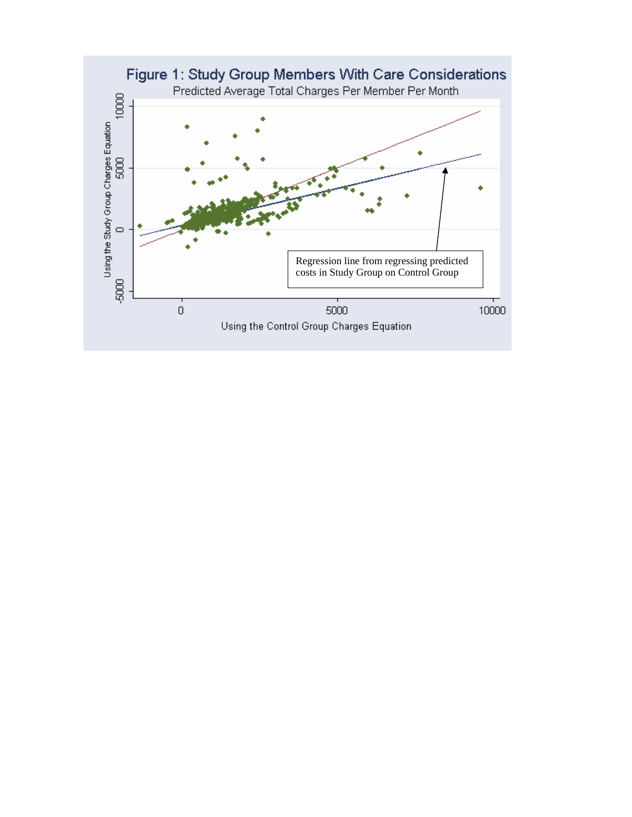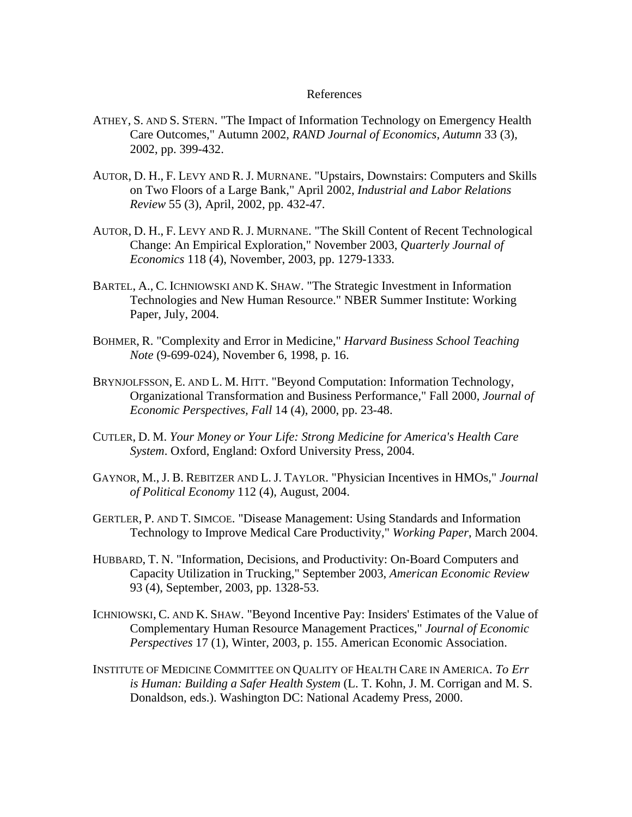## References

- ATHEY, S. AND S. STERN. "The Impact of Information Technology on Emergency Health Care Outcomes," Autumn 2002, *RAND Journal of Economics, Autumn* 33 (3), 2002, pp. 399-432.
- AUTOR, D. H., F. LEVY AND R. J. MURNANE. "Upstairs, Downstairs: Computers and Skills on Two Floors of a Large Bank," April 2002, *Industrial and Labor Relations Review* 55 (3), April, 2002, pp. 432-47.
- AUTOR, D. H., F. LEVY AND R. J. MURNANE. "The Skill Content of Recent Technological Change: An Empirical Exploration," November 2003, *Quarterly Journal of Economics* 118 (4), November, 2003, pp. 1279-1333.
- BARTEL, A., C. ICHNIOWSKI AND K. SHAW. "The Strategic Investment in Information Technologies and New Human Resource." NBER Summer Institute: Working Paper, July, 2004.
- BOHMER, R. "Complexity and Error in Medicine," *Harvard Business School Teaching Note* (9-699-024), November 6, 1998, p. 16.
- BRYNJOLFSSON, E. AND L. M. HITT. "Beyond Computation: Information Technology, Organizational Transformation and Business Performance," Fall 2000, *Journal of Economic Perspectives, Fall* 14 (4), 2000, pp. 23-48.
- CUTLER, D. M. *Your Money or Your Life: Strong Medicine for America's Health Care System*. Oxford, England: Oxford University Press, 2004.
- GAYNOR, M., J. B. REBITZER AND L. J. TAYLOR. "Physician Incentives in HMOs," *Journal of Political Economy* 112 (4), August, 2004.
- GERTLER, P. AND T. SIMCOE. "Disease Management: Using Standards and Information Technology to Improve Medical Care Productivity," *Working Paper*, March 2004.
- HUBBARD, T. N. "Information, Decisions, and Productivity: On-Board Computers and Capacity Utilization in Trucking," September 2003, *American Economic Review* 93 (4), September, 2003, pp. 1328-53.
- ICHNIOWSKI, C. AND K. SHAW. "Beyond Incentive Pay: Insiders' Estimates of the Value of Complementary Human Resource Management Practices," *Journal of Economic Perspectives* 17 (1), Winter, 2003, p. 155. American Economic Association.
- INSTITUTE OF MEDICINE COMMITTEE ON QUALITY OF HEALTH CARE IN AMERICA. *To Err is Human: Building a Safer Health System* (L. T. Kohn, J. M. Corrigan and M. S. Donaldson, eds.). Washington DC: National Academy Press, 2000.